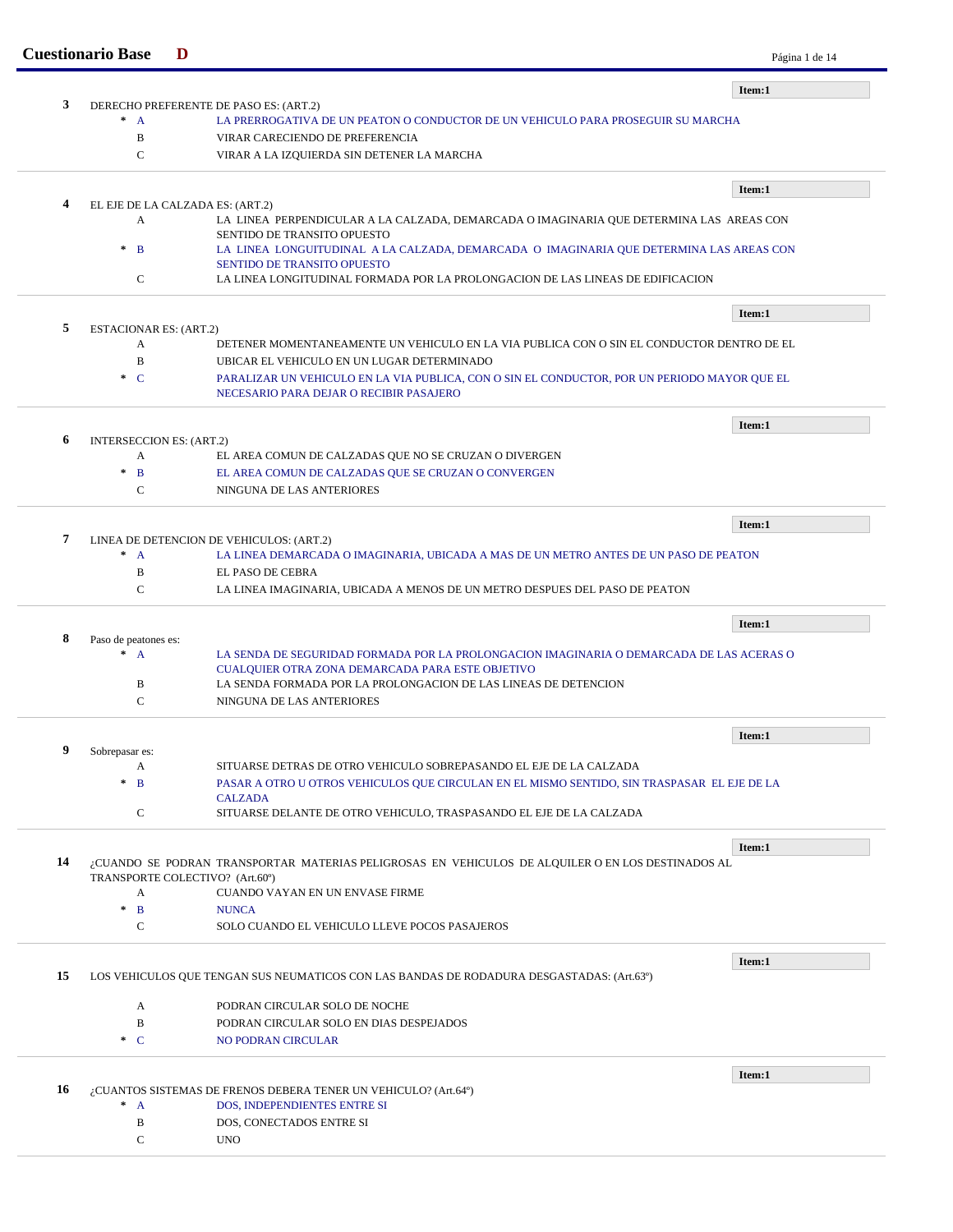|    | <b>Cuestionario Base</b>       | D                                                                                                                                       | Página 1 de 14 |
|----|--------------------------------|-----------------------------------------------------------------------------------------------------------------------------------------|----------------|
|    |                                |                                                                                                                                         | Item:1         |
| 3  | $* A$                          | DERECHO PREFERENTE DE PASO ES: (ART.2)<br>LA PRERROGATIVA DE UN PEATON O CONDUCTOR DE UN VEHICULO PARA PROSEGUIR SU MARCHA              |                |
|    | B                              | VIRAR CARECIENDO DE PREFERENCIA                                                                                                         |                |
|    | $\mathbf C$                    | VIRAR A LA IZQUIERDA SIN DETENER LA MARCHA                                                                                              |                |
|    |                                |                                                                                                                                         | Item:1         |
| 4  |                                | EL EJE DE LA CALZADA ES: (ART.2)                                                                                                        |                |
|    | A                              | LA LINEA PERPENDICULAR A LA CALZADA, DEMARCADA O IMAGINARIA QUE DETERMINA LAS AREAS CON                                                 |                |
|    |                                | SENTIDO DE TRANSITO OPUESTO                                                                                                             |                |
|    | $\ast$<br>$\mathbf{B}$         | LA LINEA LONGUITUDINAL A LA CALZADA, DEMARCADA O IMAGINARIA QUE DETERMINA LAS AREAS CON<br>SENTIDO DE TRANSITO OPUESTO                  |                |
|    | $\mathbf C$                    | LA LINEA LONGITUDINAL FORMADA POR LA PROLONGACION DE LAS LINEAS DE EDIFICACION                                                          |                |
|    |                                |                                                                                                                                         | Item:1         |
| 5  | ESTACIONAR ES: (ART.2)         |                                                                                                                                         |                |
|    | A                              | DETENER MOMENTANEAMENTE UN VEHICULO EN LA VIA PUBLICA CON O SIN EL CONDUCTOR DENTRO DE EL                                               |                |
|    | B                              | UBICAR EL VEHICULO EN UN LUGAR DETERMINADO                                                                                              |                |
|    | $\cdot$ C                      | PARALIZAR UN VEHICULO EN LA VIA PUBLICA, CON O SIN EL CONDUCTOR, POR UN PERIODO MAYOR QUE EL<br>NECESARIO PARA DEJAR O RECIBIR PASAJERO |                |
|    |                                |                                                                                                                                         | Item:1         |
| 6  | INTERSECCION ES: (ART.2)       |                                                                                                                                         |                |
|    | A                              | EL AREA COMUN DE CALZADAS QUE NO SE CRUZAN O DIVERGEN                                                                                   |                |
|    | $\ast$<br>$\mathbf{B}$         | EL AREA COMUN DE CALZADAS QUE SE CRUZAN O CONVERGEN                                                                                     |                |
|    | $\mathbf C$                    | NINGUNA DE LAS ANTERIORES                                                                                                               |                |
|    |                                |                                                                                                                                         | Item:1         |
| 7  |                                | LINEA DE DETENCION DE VEHICULOS: (ART.2)                                                                                                |                |
|    | $* A$<br>$\, {\bf B}$          | LA LINEA DEMARCADA O IMAGINARIA, UBICADA A MAS DE UN METRO ANTES DE UN PASO DE PEATON<br>EL PASO DE CEBRA                               |                |
|    | $\mathcal{C}$                  | LA LINEA IMAGINARIA, UBICADA A MENOS DE UN METRO DESPUES DEL PASO DE PEATON                                                             |                |
|    |                                |                                                                                                                                         |                |
| 8  |                                |                                                                                                                                         | Item:1         |
|    | Paso de peatones es:<br>$^*$ A | LA SENDA DE SEGURIDAD FORMADA POR LA PROLONGACION IMAGINARIA O DEMARCADA DE LAS ACERAS O                                                |                |
|    |                                | CUALQUIER OTRA ZONA DEMARCADA PARA ESTE OBJETIVO                                                                                        |                |
|    | B                              | LA SENDA FORMADA POR LA PROLONGACION DE LAS LINEAS DE DETENCION                                                                         |                |
|    | $\mathcal{C}$                  | NINGUNA DE LAS ANTERIORES                                                                                                               |                |
|    |                                |                                                                                                                                         | Item:1         |
| 9  | Sobrepasar es:<br>A            | SITUARSE DETRAS DE OTRO VEHICULO SOBREPASANDO EL EJE DE LA CALZADA                                                                      |                |
|    | $\ast$<br>B                    | PASAR A OTRO U OTROS VEHICULOS QUE CIRCULAN EN EL MISMO SENTIDO, SIN TRASPASAR EL EJE DE LA                                             |                |
|    |                                | <b>CALZADA</b>                                                                                                                          |                |
|    | $\mathbf C$                    | SITUARSE DELANTE DE OTRO VEHICULO, TRASPASANDO EL EJE DE LA CALZADA                                                                     |                |
|    |                                |                                                                                                                                         | Item:1         |
| 14 |                                | CUANDO SE PODRAN TRANSPORTAR MATERIAS PELIGROSAS EN VEHICULOS DE ALQUILER O EN LOS DESTINADOS AL                                        |                |
|    | A                              | TRANSPORTE COLECTIVO? (Art.60°)<br>CUANDO VAYAN EN UN ENVASE FIRME                                                                      |                |
|    | $\ast$<br>$\mathbf{B}$         | <b>NUNCA</b>                                                                                                                            |                |
|    | $\mathsf{C}$                   | SOLO CUANDO EL VEHICULO LLEVE POCOS PASAJEROS                                                                                           |                |
|    |                                |                                                                                                                                         |                |
| 15 |                                |                                                                                                                                         | Item:1         |
|    |                                | LOS VEHICULOS QUE TENGAN SUS NEUMATICOS CON LAS BANDAS DE RODADURA DESGASTADAS: (Art.63º)                                               |                |
|    | A                              | PODRAN CIRCULAR SOLO DE NOCHE                                                                                                           |                |
|    | B<br>$\cdot$ C                 | PODRAN CIRCULAR SOLO EN DIAS DESPEJADOS<br>NO PODRAN CIRCULAR                                                                           |                |
|    |                                |                                                                                                                                         |                |
| 16 |                                | ¿CUANTOS SISTEMAS DE FRENOS DEBERA TENER UN VEHICULO? (Art.64º)                                                                         | Item:1         |
|    | $* A$                          | DOS, INDEPENDIENTES ENTRE SI                                                                                                            |                |
|    | B                              | DOS, CONECTADOS ENTRE SI                                                                                                                |                |
|    | $\mathcal{C}$                  | <b>UNO</b>                                                                                                                              |                |
|    |                                |                                                                                                                                         |                |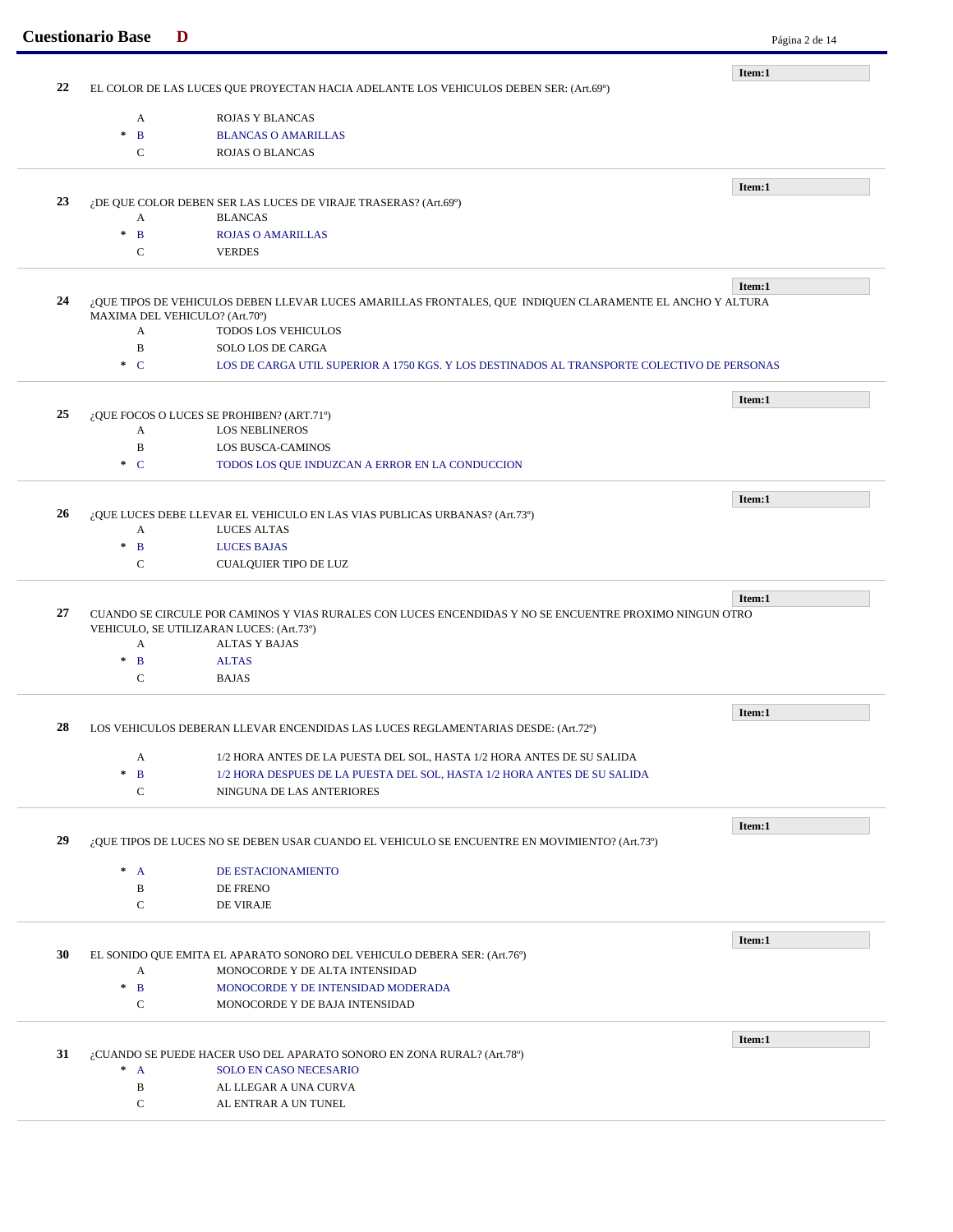|    | <b>Cuestionario Base</b><br>D                                                                                     |                                                                                                            | Página 2 de 14 |
|----|-------------------------------------------------------------------------------------------------------------------|------------------------------------------------------------------------------------------------------------|----------------|
|    |                                                                                                                   |                                                                                                            | Item:1         |
| 22 |                                                                                                                   | EL COLOR DE LAS LUCES QUE PROYECTAN HACIA ADELANTE LOS VEHICULOS DEBEN SER: (Art.69°)                      |                |
|    | A                                                                                                                 | <b>ROJAS Y BLANCAS</b>                                                                                     |                |
|    | $\mathbf B$<br>$\pm$                                                                                              | <b>BLANCAS O AMARILLAS</b>                                                                                 |                |
|    | $\mathbf C$                                                                                                       | <b>ROJAS O BLANCAS</b>                                                                                     |                |
|    |                                                                                                                   |                                                                                                            |                |
|    |                                                                                                                   |                                                                                                            | Item:1         |
| 23 |                                                                                                                   | ¿DE QUE COLOR DEBEN SER LAS LUCES DE VIRAJE TRASERAS? (Art.69°)                                            |                |
|    | A                                                                                                                 | <b>BLANCAS</b>                                                                                             |                |
|    | $\mathbf{B}$<br>$\ast$                                                                                            | <b>ROJAS O AMARILLAS</b>                                                                                   |                |
|    | $\mathbf C$                                                                                                       | <b>VERDES</b>                                                                                              |                |
|    |                                                                                                                   |                                                                                                            | Item:1         |
| 24 |                                                                                                                   | ¿QUE TIPOS DE VEHICULOS DEBEN LLEVAR LUCES AMARILLAS FRONTALES, QUE INDIQUEN CLARAMENTE EL ANCHO Y ALTURA  |                |
|    | MAXIMA DEL VEHICULO? (Art.70°)                                                                                    |                                                                                                            |                |
|    | A                                                                                                                 | <b>TODOS LOS VEHICULOS</b>                                                                                 |                |
|    | $\, {\bf B}$                                                                                                      | SOLO LOS DE CARGA                                                                                          |                |
|    | $C^*$                                                                                                             | LOS DE CARGA UTIL SUPERIOR A 1750 KGS. Y LOS DESTINADOS AL TRANSPORTE COLECTIVO DE PERSONAS                |                |
|    |                                                                                                                   |                                                                                                            | Item:1         |
| 25 |                                                                                                                   | ¿QUE FOCOS O LUCES SE PROHIBEN? (ART.71°)                                                                  |                |
|    | A                                                                                                                 | <b>LOS NEBLINEROS</b>                                                                                      |                |
|    | $\, {\bf B}$                                                                                                      | <b>LOS BUSCA-CAMINOS</b>                                                                                   |                |
|    | $\cdot$ C                                                                                                         | TODOS LOS QUE INDUZCAN A ERROR EN LA CONDUCCION                                                            |                |
|    |                                                                                                                   |                                                                                                            |                |
| 26 |                                                                                                                   |                                                                                                            | Item:1         |
|    | A                                                                                                                 | ¿QUE LUCES DEBE LLEVAR EL VEHICULO EN LAS VIAS PUBLICAS URBANAS? (Art.73º)<br><b>LUCES ALTAS</b>           |                |
|    | $\mathbf B$<br>$\ast$                                                                                             | <b>LUCES BAJAS</b>                                                                                         |                |
|    | $\mathbf C$                                                                                                       | CUALQUIER TIPO DE LUZ                                                                                      |                |
|    |                                                                                                                   |                                                                                                            |                |
| 27 | Item:1<br>CUANDO SE CIRCULE POR CAMINOS Y VIAS RURALES CON LUCES ENCENDIDAS Y NO SE ENCUENTRE PROXIMO NINGUN OTRO |                                                                                                            |                |
|    |                                                                                                                   | VEHICULO, SE UTILIZARAN LUCES: (Art.73º)                                                                   |                |
|    | A                                                                                                                 | <b>ALTAS Y BAJAS</b>                                                                                       |                |
|    | $\ast$<br>$\mathbf{B}$                                                                                            | <b>ALTAS</b>                                                                                               |                |
|    | C                                                                                                                 | <b>BAJAS</b>                                                                                               |                |
|    |                                                                                                                   |                                                                                                            | Item:1         |
| 28 |                                                                                                                   | LOS VEHICULOS DEBERAN LLEVAR ENCENDIDAS LAS LUCES REGLAMENTARIAS DESDE: (Art.72º)                          |                |
|    | A                                                                                                                 | 1/2 HORA ANTES DE LA PUESTA DEL SOL, HASTA 1/2 HORA ANTES DE SU SALIDA                                     |                |
|    | $\ast$<br>$\mathbf{B}$                                                                                            | 1/2 HORA DESPUES DE LA PUESTA DEL SOL, HASTA 1/2 HORA ANTES DE SU SALIDA                                   |                |
|    | $\mathbf C$                                                                                                       | NINGUNA DE LAS ANTERIORES                                                                                  |                |
|    |                                                                                                                   |                                                                                                            |                |
|    |                                                                                                                   |                                                                                                            | Item:1         |
| 29 |                                                                                                                   | ¿QUE TIPOS DE LUCES NO SE DEBEN USAR CUANDO EL VEHICULO SE ENCUENTRE EN MOVIMIENTO? (Art.73º)              |                |
|    | $^*$ A                                                                                                            | DE ESTACIONAMIENTO                                                                                         |                |
|    | B                                                                                                                 | DE FRENO                                                                                                   |                |
|    | ${\bf C}$                                                                                                         | DE VIRAJE                                                                                                  |                |
|    |                                                                                                                   |                                                                                                            |                |
| 30 |                                                                                                                   |                                                                                                            | Item:1         |
|    | A                                                                                                                 | EL SONIDO QUE EMITA EL APARATO SONORO DEL VEHICULO DEBERA SER: (Art.76°)<br>MONOCORDE Y DE ALTA INTENSIDAD |                |
|    | $\pm$                                                                                                             |                                                                                                            |                |
|    | $\mathbf{B}$<br>$\mathbf C$                                                                                       | MONOCORDE Y DE INTENSIDAD MODERADA<br>MONOCORDE Y DE BAJA INTENSIDAD                                       |                |
|    |                                                                                                                   |                                                                                                            |                |
|    |                                                                                                                   |                                                                                                            | Item:1         |
| 31 |                                                                                                                   | ¿CUANDO SE PUEDE HACER USO DEL APARATO SONORO EN ZONA RURAL? (Art.78º)                                     |                |
|    | $^*$ A                                                                                                            | <b>SOLO EN CASO NECESARIO</b>                                                                              |                |
|    |                                                                                                                   | AL LLEGAR A UNA CURVA                                                                                      |                |
|    | B                                                                                                                 |                                                                                                            |                |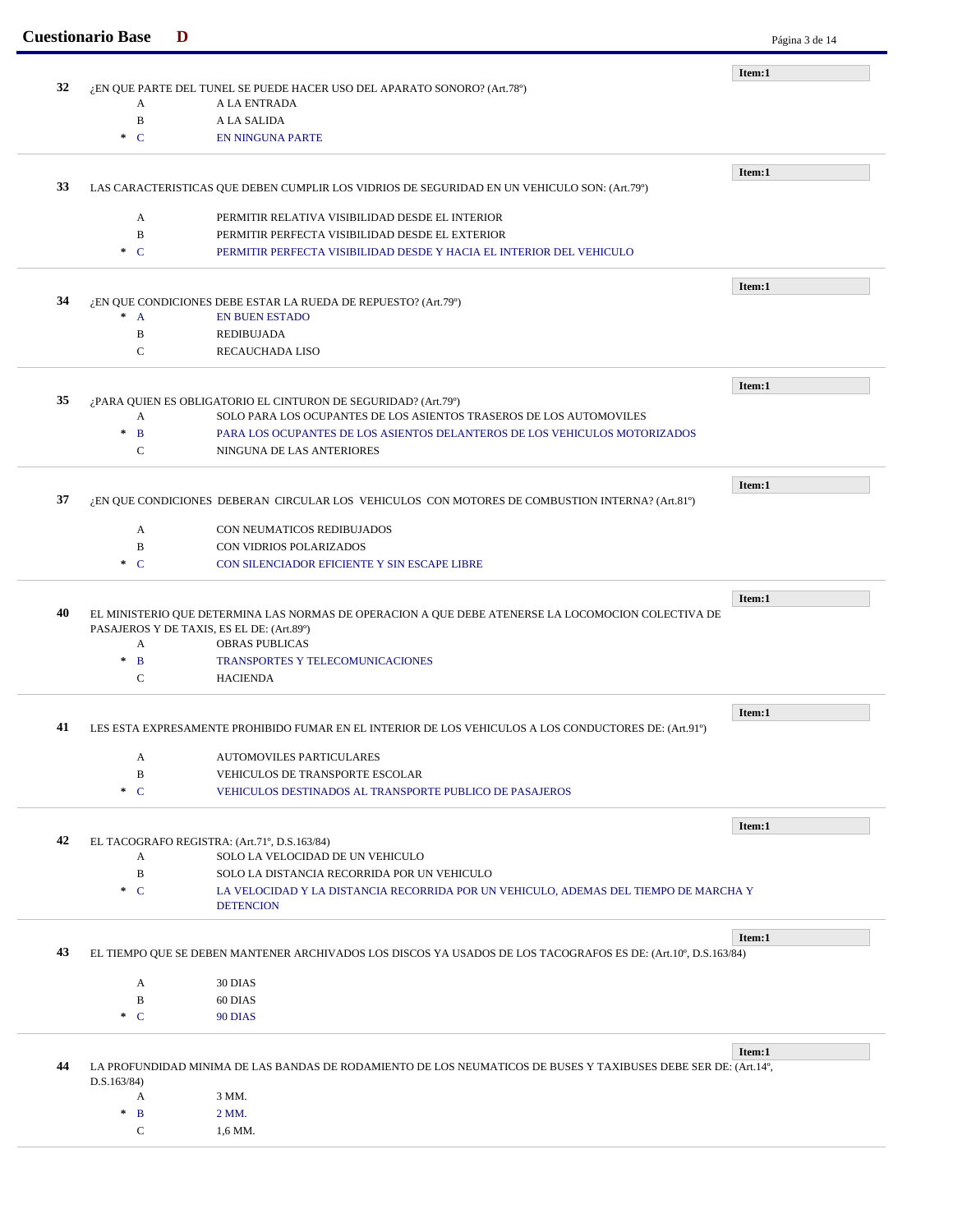|    | <b>Cuestionario Base</b> | D                                                                                                               | Página 3 de 14 |
|----|--------------------------|-----------------------------------------------------------------------------------------------------------------|----------------|
|    |                          |                                                                                                                 | Item:1         |
| 32 | A                        | ¿EN QUE PARTE DEL TUNEL SE PUEDE HACER USO DEL APARATO SONORO? (Art.78º)<br>A LA ENTRADA                        |                |
|    | $\, {\bf B}$             | A LA SALIDA                                                                                                     |                |
|    | $\cdot$ C                | <b>EN NINGUNA PARTE</b>                                                                                         |                |
|    |                          |                                                                                                                 |                |
| 33 |                          | LAS CARACTERISTICAS QUE DEBEN CUMPLIR LOS VIDRIOS DE SEGURIDAD EN UN VEHICULO SON: (Art.79°)                    | Item:1         |
|    |                          |                                                                                                                 |                |
|    | A                        | PERMITIR RELATIVA VISIBILIDAD DESDE EL INTERIOR                                                                 |                |
|    | B                        | PERMITIR PERFECTA VISIBILIDAD DESDE EL EXTERIOR                                                                 |                |
|    | $\cdot$ C                | PERMITIR PERFECTA VISIBILIDAD DESDE Y HACIA EL INTERIOR DEL VEHICULO                                            |                |
|    |                          |                                                                                                                 | Item:1         |
| 34 | $\ast$<br>$\mathbf{A}$   | ¿EN QUE CONDICIONES DEBE ESTAR LA RUEDA DE REPUESTO? (Art.79°)<br><b>EN BUEN ESTADO</b>                         |                |
|    | $\, {\bf B}$             |                                                                                                                 |                |
|    |                          | <b>REDIBUJADA</b>                                                                                               |                |
|    | C                        | <b>RECAUCHADA LISO</b>                                                                                          |                |
|    |                          |                                                                                                                 | Item:1         |
| 35 |                          | ¿PARA QUIEN ES OBLIGATORIO EL CINTURON DE SEGURIDAD? (Art.79°)                                                  |                |
|    | A                        | SOLO PARA LOS OCUPANTES DE LOS ASIENTOS TRASEROS DE LOS AUTOMOVILES                                             |                |
|    | $\ast$<br>$\mathbf{B}$   | PARA LOS OCUPANTES DE LOS ASIENTOS DELANTEROS DE LOS VEHICULOS MOTORIZADOS                                      |                |
|    | $\mathcal{C}$            | NINGUNA DE LAS ANTERIORES                                                                                       |                |
|    |                          |                                                                                                                 | Item:1         |
| 37 |                          | ¿EN QUE CONDICIONES DEBERAN CIRCULAR LOS VEHICULOS CON MOTORES DE COMBUSTION INTERNA? (Art.81º)                 |                |
|    | A                        | CON NEUMATICOS REDIBUJADOS                                                                                      |                |
|    | B                        | CON VIDRIOS POLARIZADOS                                                                                         |                |
|    | $\ast$ C                 | CON SILENCIADOR EFICIENTE Y SIN ESCAPE LIBRE                                                                    |                |
|    |                          |                                                                                                                 | Item:1         |
| 40 |                          | EL MINISTERIO QUE DETERMINA LAS NORMAS DE OPERACION A QUE DEBE ATENERSE LA LOCOMOCION COLECTIVA DE              |                |
|    |                          | PASAJEROS Y DE TAXIS, ES EL DE: (Art.89°)                                                                       |                |
|    | A                        | <b>OBRAS PUBLICAS</b>                                                                                           |                |
|    | $\ast$<br>$\mathbf{B}$   | TRANSPORTES Y TELECOMUNICACIONES                                                                                |                |
|    | $\mathbf C$              | <b>HACIENDA</b>                                                                                                 |                |
|    |                          |                                                                                                                 | Item:1         |
| 41 |                          | LES ESTA EXPRESAMENTE PROHIBIDO FUMAR EN EL INTERIOR DE LOS VEHICULOS A LOS CONDUCTORES DE: (Art.91°)           |                |
|    | A                        | <b>AUTOMOVILES PARTICULARES</b>                                                                                 |                |
|    | B                        | VEHICULOS DE TRANSPORTE ESCOLAR                                                                                 |                |
|    | $C^*$                    | VEHICULOS DESTINADOS AL TRANSPORTE PUBLICO DE PASAJEROS                                                         |                |
|    |                          |                                                                                                                 | Item:1         |
| 42 |                          | EL TACOGRAFO REGISTRA: (Art.71°, D.S.163/84)                                                                    |                |
|    | A                        | SOLO LA VELOCIDAD DE UN VEHICULO                                                                                |                |
|    | $\, {\bf B}$             | SOLO LA DISTANCIA RECORRIDA POR UN VEHICULO                                                                     |                |
|    | $\ast$ C                 | LA VELOCIDAD Y LA DISTANCIA RECORRIDA POR UN VEHICULO, ADEMAS DEL TIEMPO DE MARCHA Y<br><b>DETENCION</b>        |                |
|    |                          |                                                                                                                 |                |
| 43 |                          | EL TIEMPO QUE SE DEBEN MANTENER ARCHIVADOS LOS DISCOS YA USADOS DE LOS TACOGRAFOS ES DE: (Art.10°, D.S.163/84)  | Item:1         |
|    |                          |                                                                                                                 |                |
|    | A                        | 30 DIAS                                                                                                         |                |
|    | B                        | 60 DIAS                                                                                                         |                |
|    | $\ast$ C                 | 90 DIAS                                                                                                         |                |
|    |                          |                                                                                                                 | Item:1         |
| 44 | D.S.163/84)              | LA PROFUNDIDAD MINIMA DE LAS BANDAS DE RODAMIENTO DE LOS NEUMATICOS DE BUSES Y TAXIBUSES DEBE SER DE: (Art.14°, |                |
|    | A                        | 3 MM.                                                                                                           |                |
|    | $\ast$<br>$\mathbf{B}$   | 2 MM.                                                                                                           |                |
|    | C                        | 1,6 MM.                                                                                                         |                |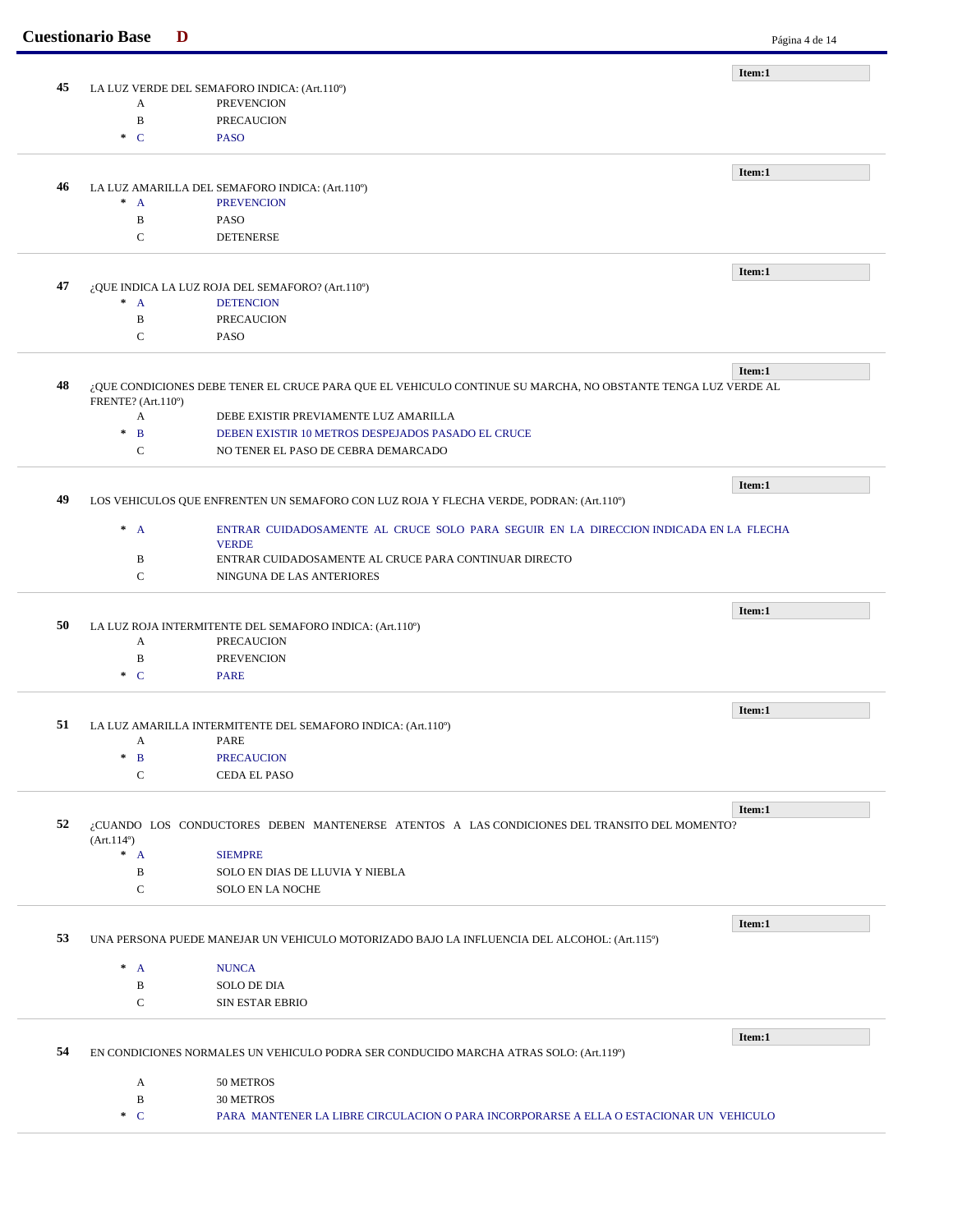|    | <b>Cuestionario Base</b> | D                                                                                                            | Página 4 de 14 |
|----|--------------------------|--------------------------------------------------------------------------------------------------------------|----------------|
|    |                          |                                                                                                              | Item:1         |
| 45 |                          | LA LUZ VERDE DEL SEMAFORO INDICA: (Art.110°)                                                                 |                |
|    | A                        | <b>PREVENCION</b>                                                                                            |                |
|    | $\, {\bf B}$             | <b>PRECAUCION</b>                                                                                            |                |
|    | $\ast$ C                 | <b>PASO</b>                                                                                                  |                |
|    |                          |                                                                                                              |                |
| 46 |                          | LA LUZ AMARILLA DEL SEMAFORO INDICA: (Art.110°)                                                              | Item:1         |
|    | $^*$ A                   | <b>PREVENCION</b>                                                                                            |                |
|    | B                        | <b>PASO</b>                                                                                                  |                |
|    | $\mathcal{C}$            | <b>DETENERSE</b>                                                                                             |                |
|    |                          |                                                                                                              |                |
|    |                          |                                                                                                              | Item:1         |
| 47 |                          | ¿QUE INDICA LA LUZ ROJA DEL SEMAFORO? (Art.110°)                                                             |                |
|    | $^*$ A                   | <b>DETENCION</b>                                                                                             |                |
|    | $\, {\bf B}$             | <b>PRECAUCION</b>                                                                                            |                |
|    | $\mathbf C$              | <b>PASO</b>                                                                                                  |                |
|    |                          |                                                                                                              |                |
|    |                          |                                                                                                              | Item:1         |
| 48 |                          | ¿QUE CONDICIONES DEBE TENER EL CRUCE PARA QUE EL VEHICULO CONTINUE SU MARCHA, NO OBSTANTE TENGA LUZ VERDE AL |                |
|    | FRENTE? (Art.110°)<br>A  | DEBE EXISTIR PREVIAMENTE LUZ AMARILLA                                                                        |                |
|    | $*$ B                    | DEBEN EXISTIR 10 METROS DESPEJADOS PASADO EL CRUCE                                                           |                |
|    | $\mathbf C$              | NO TENER EL PASO DE CEBRA DEMARCADO                                                                          |                |
|    |                          |                                                                                                              |                |
|    |                          |                                                                                                              | Item:1         |
| 49 |                          | LOS VEHICULOS QUE ENFRENTEN UN SEMAFORO CON LUZ ROJA Y FLECHA VERDE, PODRAN: (Art.110°)                      |                |
|    |                          |                                                                                                              |                |
|    | $^*$ A                   | ENTRAR CUIDADOSAMENTE AL CRUCE SOLO PARA SEGUIR EN LA DIRECCION INDICADA EN LA FLECHA                        |                |
|    |                          | <b>VERDE</b>                                                                                                 |                |
|    | B                        | ENTRAR CUIDADOSAMENTE AL CRUCE PARA CONTINUAR DIRECTO                                                        |                |
|    | $\mathbf C$              | NINGUNA DE LAS ANTERIORES                                                                                    |                |
|    |                          |                                                                                                              | Item:1         |
| 50 |                          | LA LUZ ROJA INTERMITENTE DEL SEMAFORO INDICA: (Art.110°)                                                     |                |
|    | A                        | <b>PRECAUCION</b>                                                                                            |                |
|    | B                        | <b>PREVENCION</b>                                                                                            |                |
|    | $\cdot$ C                | <b>PARE</b>                                                                                                  |                |
|    |                          |                                                                                                              |                |
|    |                          |                                                                                                              | Item:1         |
| 51 |                          | LA LUZ AMARILLA INTERMITENTE DEL SEMAFORO INDICA: (Art.110°)                                                 |                |
|    | A                        | PARE                                                                                                         |                |
|    | $*$ B                    | <b>PRECAUCION</b>                                                                                            |                |
|    | $\mathbf C$              | CEDA EL PASO                                                                                                 |                |
|    |                          |                                                                                                              |                |
| 52 |                          | ¿CUANDO LOS CONDUCTORES DEBEN MANTENERSE ATENTOS A LAS CONDICIONES DEL TRANSITO DEL MOMENTO?                 | Item:1         |
|    | (Art.114 <sup>0</sup> )  |                                                                                                              |                |
|    | $^*$ A                   | <b>SIEMPRE</b>                                                                                               |                |
|    | B                        | SOLO EN DIAS DE LLUVIA Y NIEBLA                                                                              |                |
|    | $\mathbf C$              | <b>SOLO EN LA NOCHE</b>                                                                                      |                |
|    |                          |                                                                                                              |                |
|    |                          |                                                                                                              | Item:1         |
| 53 |                          | UNA PERSONA PUEDE MANEJAR UN VEHICULO MOTORIZADO BAJO LA INFLUENCIA DEL ALCOHOL: (Art.115°)                  |                |
|    |                          |                                                                                                              |                |
|    | $^*$ A                   | <b>NUNCA</b>                                                                                                 |                |
|    | B                        | <b>SOLO DE DIA</b>                                                                                           |                |
|    | $\mathbf C$              | <b>SIN ESTAR EBRIO</b>                                                                                       |                |
|    |                          |                                                                                                              |                |
| 54 |                          |                                                                                                              | Item:1         |
|    |                          | EN CONDICIONES NORMALES UN VEHICULO PODRA SER CONDUCIDO MARCHA ATRAS SOLO: (Art.119º)                        |                |
|    | A                        | 50 METROS                                                                                                    |                |
|    | B                        | <b>30 METROS</b>                                                                                             |                |
|    | $\ast$ C                 | PARA MANTENER LA LIBRE CIRCULACION O PARA INCORPORARSE A ELLA O ESTACIONAR UN VEHICULO                       |                |
|    |                          |                                                                                                              |                |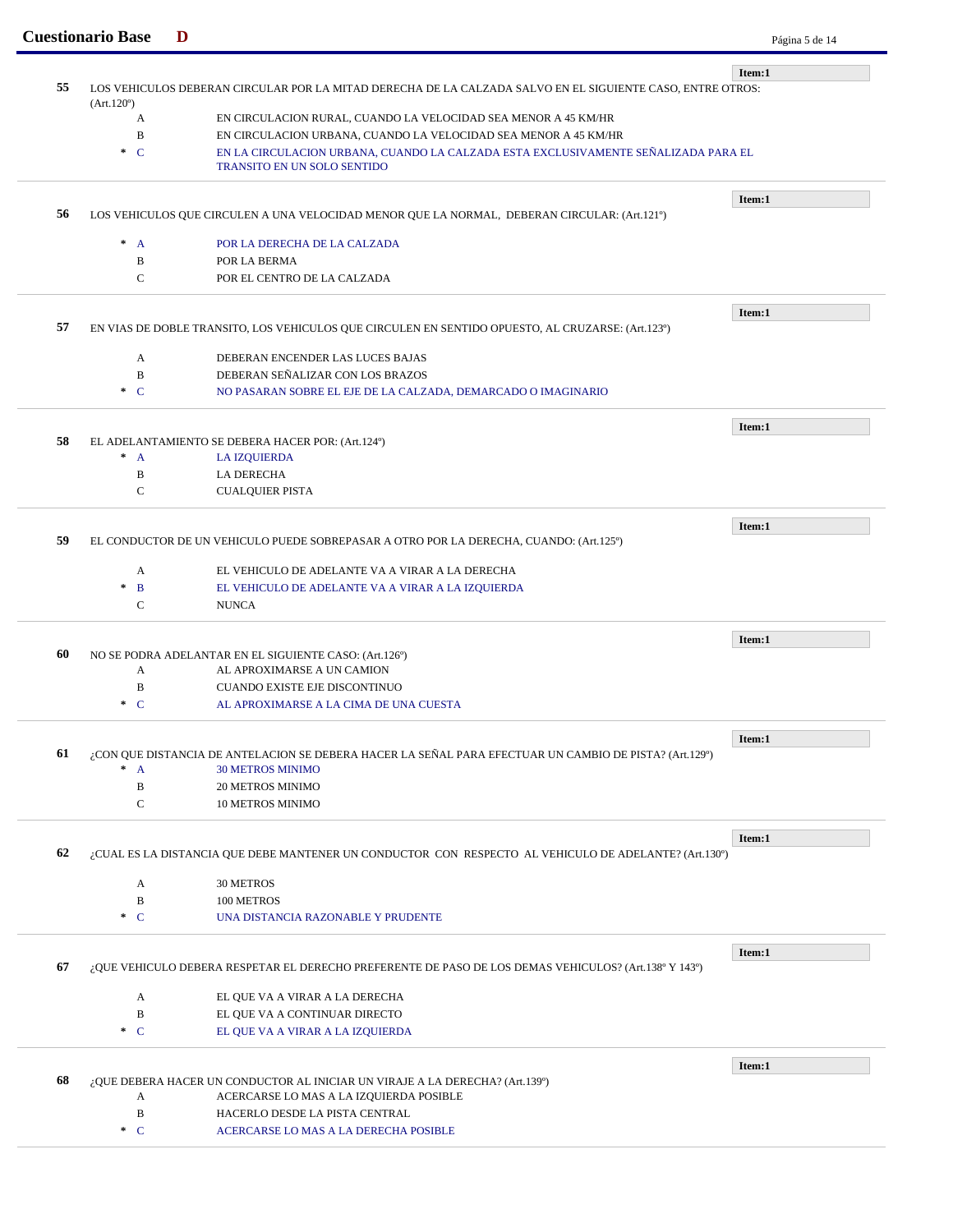|    | <b>Cuestionario Base</b> |                                                                                                            | Página 5 de 14 |  |  |
|----|--------------------------|------------------------------------------------------------------------------------------------------------|----------------|--|--|
|    |                          |                                                                                                            | Item:1         |  |  |
| 55 | (Art.120°)               | LOS VEHICULOS DEBERAN CIRCULAR POR LA MITAD DERECHA DE LA CALZADA SALVO EN EL SIGUIENTE CASO, ENTRE OTROS: |                |  |  |
|    | A                        | EN CIRCULACION RURAL, CUANDO LA VELOCIDAD SEA MENOR A 45 KM/HR                                             |                |  |  |
|    | $\, {\bf B}$             | EN CIRCULACION URBANA, CUANDO LA VELOCIDAD SEA MENOR A 45 KM/HR                                            |                |  |  |
|    | $C^*$                    | EN LA CIRCULACION URBANA, CUANDO LA CALZADA ESTA EXCLUSIVAMENTE SEÑALIZADA PARA EL                         |                |  |  |
|    |                          | TRANSITO EN UN SOLO SENTIDO                                                                                |                |  |  |
|    |                          |                                                                                                            | Item:1         |  |  |
| 56 |                          | LOS VEHICULOS QUE CIRCULEN A UNA VELOCIDAD MENOR QUE LA NORMAL, DEBERAN CIRCULAR: (Art.121º)               |                |  |  |
|    | $^*$ A                   | POR LA DERECHA DE LA CALZADA                                                                               |                |  |  |
|    | B                        | POR LA BERMA                                                                                               |                |  |  |
|    | $\mathcal{C}$            | POR EL CENTRO DE LA CALZADA                                                                                |                |  |  |
|    |                          |                                                                                                            |                |  |  |
| 57 |                          | EN VIAS DE DOBLE TRANSITO, LOS VEHICULOS QUE CIRCULEN EN SENTIDO OPUESTO, AL CRUZARSE: (Art.123º)          | Item:1         |  |  |
|    |                          |                                                                                                            |                |  |  |
|    | A                        | DEBERAN ENCENDER LAS LUCES BAJAS                                                                           |                |  |  |
|    | $\, {\bf B}$             | DEBERAN SEÑALIZAR CON LOS BRAZOS                                                                           |                |  |  |
|    | $\cdot$ C                | NO PASARAN SOBRE EL EJE DE LA CALZADA, DEMARCADO O IMAGINARIO                                              |                |  |  |
|    |                          |                                                                                                            | Item:1         |  |  |
| 58 |                          | EL ADELANTAMIENTO SE DEBERA HACER POR: (Art.124º)                                                          |                |  |  |
|    | $^*$ A                   | <b>LA IZQUIERDA</b>                                                                                        |                |  |  |
|    | B                        | <b>LA DERECHA</b>                                                                                          |                |  |  |
|    | ${\bf C}$                | <b>CUALQUIER PISTA</b>                                                                                     |                |  |  |
|    | Item:1                   |                                                                                                            |                |  |  |
| 59 |                          | EL CONDUCTOR DE UN VEHICULO PUEDE SOBREPASAR A OTRO POR LA DERECHA, CUANDO: (Art.125°)                     |                |  |  |
|    | A                        | EL VEHICULO DE ADELANTE VA A VIRAR A LA DERECHA                                                            |                |  |  |
|    | $\ast$<br>B              | EL VEHICULO DE ADELANTE VA A VIRAR A LA IZQUIERDA                                                          |                |  |  |
|    | $\mathcal{C}$            | <b>NUNCA</b>                                                                                               |                |  |  |
|    |                          |                                                                                                            | Item:1         |  |  |
| 60 |                          | NO SE PODRA ADELANTAR EN EL SIGUIENTE CASO: (Art.126°)                                                     |                |  |  |
|    | A                        | AL APROXIMARSE A UN CAMION                                                                                 |                |  |  |
|    | B                        | <b>CUANDO EXISTE EJE DISCONTINUO</b>                                                                       |                |  |  |
|    | $\ast$ C                 | AL APROXIMARSE A LA CIMA DE UNA CUESTA                                                                     |                |  |  |
|    |                          |                                                                                                            | Item:1         |  |  |
| 61 |                          | ¿CON QUE DISTANCIA DE ANTELACION SE DEBERA HACER LA SEÑAL PARA EFECTUAR UN CAMBIO DE PISTA? (Art.129°)     |                |  |  |
|    | $\pm$<br>$\mathbf{A}$    | <b>30 METROS MINIMO</b>                                                                                    |                |  |  |
|    | $\, {\bf B}$             | <b>20 METROS MINIMO</b>                                                                                    |                |  |  |
|    | $\mathbf C$              | <b>10 METROS MINIMO</b>                                                                                    |                |  |  |
|    |                          |                                                                                                            | Item:1         |  |  |
| 62 |                          | ¿CUAL ES LA DISTANCIA QUE DEBE MANTENER UN CONDUCTOR CON RESPECTO AL VEHICULO DE ADELANTE? (Art.130°)      |                |  |  |
|    | A                        | 30 METROS                                                                                                  |                |  |  |
|    | B                        | 100 METROS                                                                                                 |                |  |  |
|    | $\ast$ C                 | UNA DISTANCIA RAZONABLE Y PRUDENTE                                                                         |                |  |  |
|    |                          |                                                                                                            |                |  |  |
| 67 |                          | ¿QUE VEHICULO DEBERA RESPETAR EL DERECHO PREFERENTE DE PASO DE LOS DEMAS VEHICULOS? (Art.138º Y 143º)      | Item:1         |  |  |
|    |                          |                                                                                                            |                |  |  |
|    | A                        | EL QUE VA A VIRAR A LA DERECHA                                                                             |                |  |  |
|    | $\, {\bf B}$             | EL QUE VA A CONTINUAR DIRECTO                                                                              |                |  |  |
|    | $\ast$ C                 | EL QUE VA A VIRAR A LA IZQUIERDA                                                                           |                |  |  |
|    |                          |                                                                                                            |                |  |  |
|    |                          |                                                                                                            | Item:1         |  |  |
|    |                          | ¿QUE DEBERA HACER UN CONDUCTOR AL INICIAR UN VIRAJE A LA DERECHA? (Art.139º)                               |                |  |  |
| 68 | A<br>$\, {\bf B}$        | ACERCARSE LO MAS A LA IZQUIERDA POSIBLE<br>HACERLO DESDE LA PISTA CENTRAL                                  |                |  |  |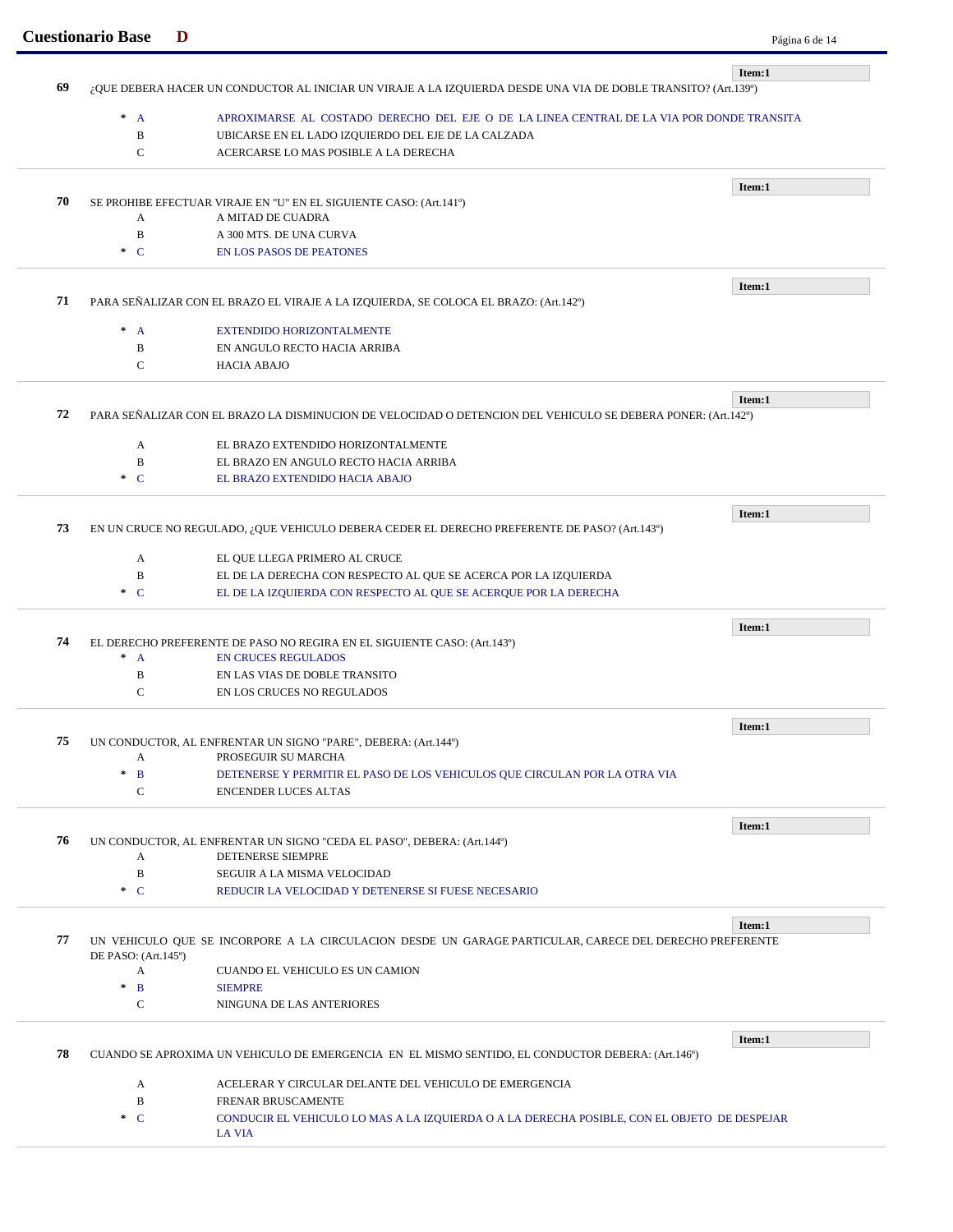|    | <b>Cuestionario Base</b>   | D                                                                                                              | Página 6 de 14 |
|----|----------------------------|----------------------------------------------------------------------------------------------------------------|----------------|
| 69 |                            | ¿QUE DEBERA HACER UN CONDUCTOR AL INICIAR UN VIRAJE A LA IZQUIERDA DESDE UNA VIA DE DOBLE TRANSITO? (Art.139º) | Item:1         |
|    | $^*$ A                     | APROXIMARSE AL COSTADO DERECHO DEL EJE O DE LA LINEA CENTRAL DE LA VIA POR DONDE TRANSITA                      |                |
|    | $\, {\bf B}$               | UBICARSE EN EL LADO IZQUIERDO DEL EJE DE LA CALZADA                                                            |                |
|    | $\mathsf{C}$               | ACERCARSE LO MAS POSIBLE A LA DERECHA                                                                          |                |
|    |                            |                                                                                                                |                |
|    |                            |                                                                                                                | Item:1         |
| 70 |                            | SE PROHIBE EFECTUAR VIRAJE EN "U" EN EL SIGUIENTE CASO: (Art.141º)                                             |                |
|    | A<br>$\, {\bf B}$          | A MITAD DE CUADRA                                                                                              |                |
|    | $\cdot$ C                  | A 300 MTS. DE UNA CURVA<br><b>EN LOS PASOS DE PEATONES</b>                                                     |                |
|    |                            |                                                                                                                |                |
| 71 |                            | PARA SEÑALIZAR CON EL BRAZO EL VIRAJE A LA IZQUIERDA, SE COLOCA EL BRAZO: (Art.142º)                           | Item:1         |
|    |                            |                                                                                                                |                |
|    | $* A$                      | <b>EXTENDIDO HORIZONTALMENTE</b>                                                                               |                |
|    | $\, {\bf B}$               | EN ANGULO RECTO HACIA ARRIBA                                                                                   |                |
|    | $\mathsf{C}$               | <b>HACIA ABAJO</b>                                                                                             |                |
|    |                            |                                                                                                                | Item:1         |
| 72 |                            | PARA SEÑALIZAR CON EL BRAZO LA DISMINUCION DE VELOCIDAD O DETENCION DEL VEHICULO SE DEBERA PONER: (Art.142º)   |                |
|    | A                          | EL BRAZO EXTENDIDO HORIZONTALMENTE                                                                             |                |
|    | $\, {\bf B}$               | EL BRAZO EN ANGULO RECTO HACIA ARRIBA                                                                          |                |
|    | $\ast$ C                   | EL BRAZO EXTENDIDO HACIA ABAJO                                                                                 |                |
|    |                            |                                                                                                                |                |
|    |                            |                                                                                                                | Item:1         |
| 73 |                            | EN UN CRUCE NO REGULADO, ¿QUE VEHICULO DEBERA CEDER EL DERECHO PREFERENTE DE PASO? (Art.143º)                  |                |
|    | A                          | EL QUE LLEGA PRIMERO AL CRUCE                                                                                  |                |
|    | $\, {\bf B}$               | EL DE LA DERECHA CON RESPECTO AL QUE SE ACERCA POR LA IZQUIERDA                                                |                |
|    | $\ast$ C                   | EL DE LA IZQUIERDA CON RESPECTO AL QUE SE ACERQUE POR LA DERECHA                                               |                |
|    |                            |                                                                                                                | Item:1         |
| 74 |                            | EL DERECHO PREFERENTE DE PASO NO REGIRA EN EL SIGUIENTE CASO: (Art.143º)                                       |                |
|    | $\ast$<br>$\mathbf{A}$     | <b>EN CRUCES REGULADOS</b>                                                                                     |                |
|    | $\, {\bf B}$               | EN LAS VIAS DE DOBLE TRANSITO                                                                                  |                |
|    | $\mathsf{C}$               | EN LOS CRUCES NO REGULADOS                                                                                     |                |
|    |                            |                                                                                                                |                |
| 75 |                            | UN CONDUCTOR, AL ENFRENTAR UN SIGNO "PARE", DEBERA: (Art.144º)                                                 | Item:1         |
|    | A                          | PROSEGUIR SU MARCHA                                                                                            |                |
|    | $\pm$<br>$\mathbf{B}$      | DETENERSE Y PERMITIR EL PASO DE LOS VEHICULOS QUE CIRCULAN POR LA OTRA VIA                                     |                |
|    | C                          | <b>ENCENDER LUCES ALTAS</b>                                                                                    |                |
|    |                            |                                                                                                                | Item:1         |
| 76 |                            | UN CONDUCTOR, AL ENFRENTAR UN SIGNO "CEDA EL PASO", DEBERA: (Art.144°)                                         |                |
|    | A                          | <b>DETENERSE SIEMPRE</b>                                                                                       |                |
|    | B                          | SEGUIR A LA MISMA VELOCIDAD                                                                                    |                |
|    | $C^*$                      | REDUCIR LA VELOCIDAD Y DETENERSE SI FUESE NECESARIO                                                            |                |
|    |                            |                                                                                                                | Item:1         |
|    |                            | UN VEHICULO QUE SE INCORPORE A LA CIRCULACION DESDE UN GARAGE PARTICULAR, CARECE DEL DERECHO PREFERENTE        |                |
| 77 | DE PASO: $(Art.145^\circ)$ |                                                                                                                |                |
|    |                            | CUANDO EL VEHICULO ES UN CAMION                                                                                |                |
|    | A                          |                                                                                                                |                |
|    | $\ast$<br>$\mathbf{B}$     | <b>SIEMPRE</b>                                                                                                 |                |
|    | $\mathcal{C}$              | NINGUNA DE LAS ANTERIORES                                                                                      |                |
|    |                            |                                                                                                                | Item:1         |
| 78 |                            | CUANDO SE APROXIMA UN VEHICULO DE EMERGENCIA EN EL MISMO SENTIDO, EL CONDUCTOR DEBERA: (Art.146°)              |                |
|    | A                          | ACELERAR Y CIRCULAR DELANTE DEL VEHICULO DE EMERGENCIA                                                         |                |
|    | B                          | FRENAR BRUSCAMENTE                                                                                             |                |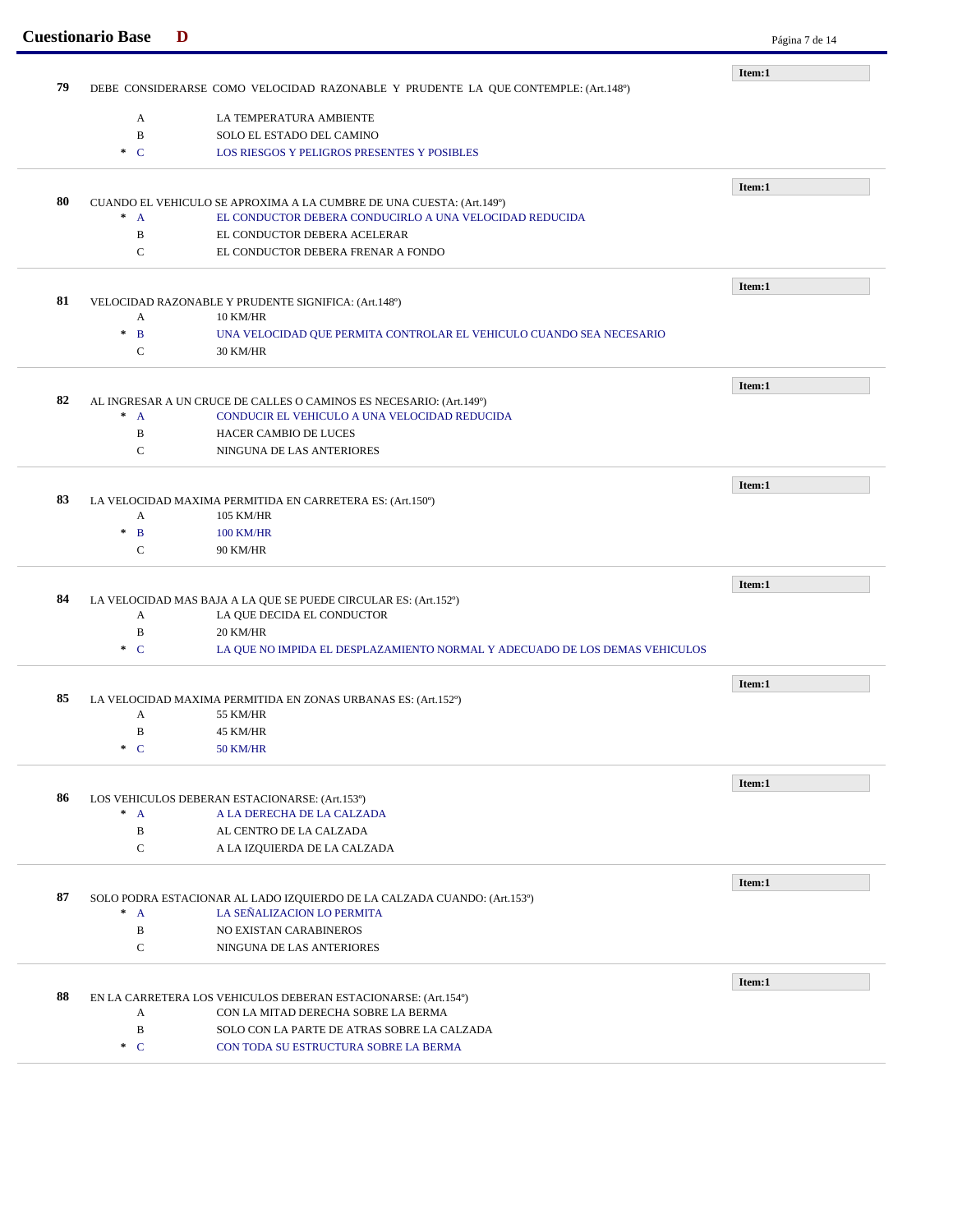|    | <b>Cuestionario Base</b> | D                                                                                  | Página 7 de 14 |
|----|--------------------------|------------------------------------------------------------------------------------|----------------|
|    |                          |                                                                                    | Item:1         |
| 79 |                          | DEBE CONSIDERARSE COMO VELOCIDAD RAZONABLE Y PRUDENTE LA QUE CONTEMPLE: (Art.148°) |                |
|    | $\mathbf{A}$             | LA TEMPERATURA AMBIENTE                                                            |                |
|    | $\, {\bf B}$             | SOLO EL ESTADO DEL CAMINO                                                          |                |
|    | $\ast$ C                 | LOS RIESGOS Y PELIGROS PRESENTES Y POSIBLES                                        |                |
|    |                          |                                                                                    |                |
|    |                          |                                                                                    | Item:1         |
| 80 |                          | CUANDO EL VEHICULO SE APROXIMA A LA CUMBRE DE UNA CUESTA: (Art.149º)               |                |
|    | $^*$ A                   | EL CONDUCTOR DEBERA CONDUCIRLO A UNA VELOCIDAD REDUCIDA                            |                |
|    | B                        | EL CONDUCTOR DEBERA ACELERAR                                                       |                |
|    | $\mathbf C$              | EL CONDUCTOR DEBERA FRENAR A FONDO                                                 |                |
|    |                          |                                                                                    | Item:1         |
| 81 |                          | VELOCIDAD RAZONABLE Y PRUDENTE SIGNIFICA: (Art.148°)                               |                |
|    | A                        | <b>10 KM/HR</b>                                                                    |                |
|    | $\ast$<br>$\mathbf{B}$   | UNA VELOCIDAD QUE PERMITA CONTROLAR EL VEHICULO CUANDO SEA NECESARIO               |                |
|    | C                        | 30 KM/HR                                                                           |                |
|    |                          |                                                                                    | Item:1         |
| 82 |                          | AL INGRESAR A UN CRUCE DE CALLES O CAMINOS ES NECESARIO: (Art.149º)                |                |
|    | $* A$                    | CONDUCIR EL VEHICULO A UNA VELOCIDAD REDUCIDA                                      |                |
|    | B                        | HACER CAMBIO DE LUCES                                                              |                |
|    | $\mathbf C$              | NINGUNA DE LAS ANTERIORES                                                          |                |
|    |                          |                                                                                    |                |
| 83 |                          | LA VELOCIDAD MAXIMA PERMITIDA EN CARRETERA ES: (Art.150°)                          | Item:1         |
|    | A                        | 105 KM/HR                                                                          |                |
|    | $\ast$<br>$\mathbf{B}$   | <b>100 KM/HR</b>                                                                   |                |
|    | C                        | <b>90 KM/HR</b>                                                                    |                |
|    |                          |                                                                                    |                |
|    |                          |                                                                                    | Item:1         |
| 84 |                          | LA VELOCIDAD MAS BAJA A LA QUE SE PUEDE CIRCULAR ES: (Art.152º)                    |                |
|    | A                        | LA QUE DECIDA EL CONDUCTOR                                                         |                |
|    | B                        | 20 KM/HR                                                                           |                |
|    | $\ast$ C                 | LA QUE NO IMPIDA EL DESPLAZAMIENTO NORMAL Y ADECUADO DE LOS DEMAS VEHICULOS        |                |
|    |                          |                                                                                    | Item:1         |
| 85 |                          | LA VELOCIDAD MAXIMA PERMITIDA EN ZONAS URBANAS ES: (Art.152º)                      |                |
|    | A                        | 55 KM/HR                                                                           |                |
|    | $\, {\bf B}$             | 45 KM/HR                                                                           |                |
|    | $C^*$                    | 50 KM/HR                                                                           |                |
|    |                          |                                                                                    | Item:1         |
| 86 |                          | LOS VEHICULOS DEBERAN ESTACIONARSE: (Art.153º)                                     |                |
|    | $^*$ A                   | A LA DERECHA DE LA CALZADA                                                         |                |
|    | $\, {\bf B}$             | AL CENTRO DE LA CALZADA                                                            |                |
|    | C                        | A LA IZQUIERDA DE LA CALZADA                                                       |                |
|    |                          |                                                                                    | Item:1         |
| 87 |                          | SOLO PODRA ESTACIONAR AL LADO IZQUIERDO DE LA CALZADA CUANDO: (Art.153º)           |                |
|    | $^*$ A                   | LA SEÑALIZACION LO PERMITA                                                         |                |
|    | B                        | NO EXISTAN CARABINEROS                                                             |                |
|    | $\mathbf C$              | NINGUNA DE LAS ANTERIORES                                                          |                |
|    |                          |                                                                                    | Item:1         |
| 88 |                          | EN LA CARRETERA LOS VEHICULOS DEBERAN ESTACIONARSE: (Art.154º)                     |                |
|    | A                        | CON LA MITAD DERECHA SOBRE LA BERMA                                                |                |
|    |                          |                                                                                    |                |
|    | $\, {\bf B}$             | SOLO CON LA PARTE DE ATRAS SOBRE LA CALZADA                                        |                |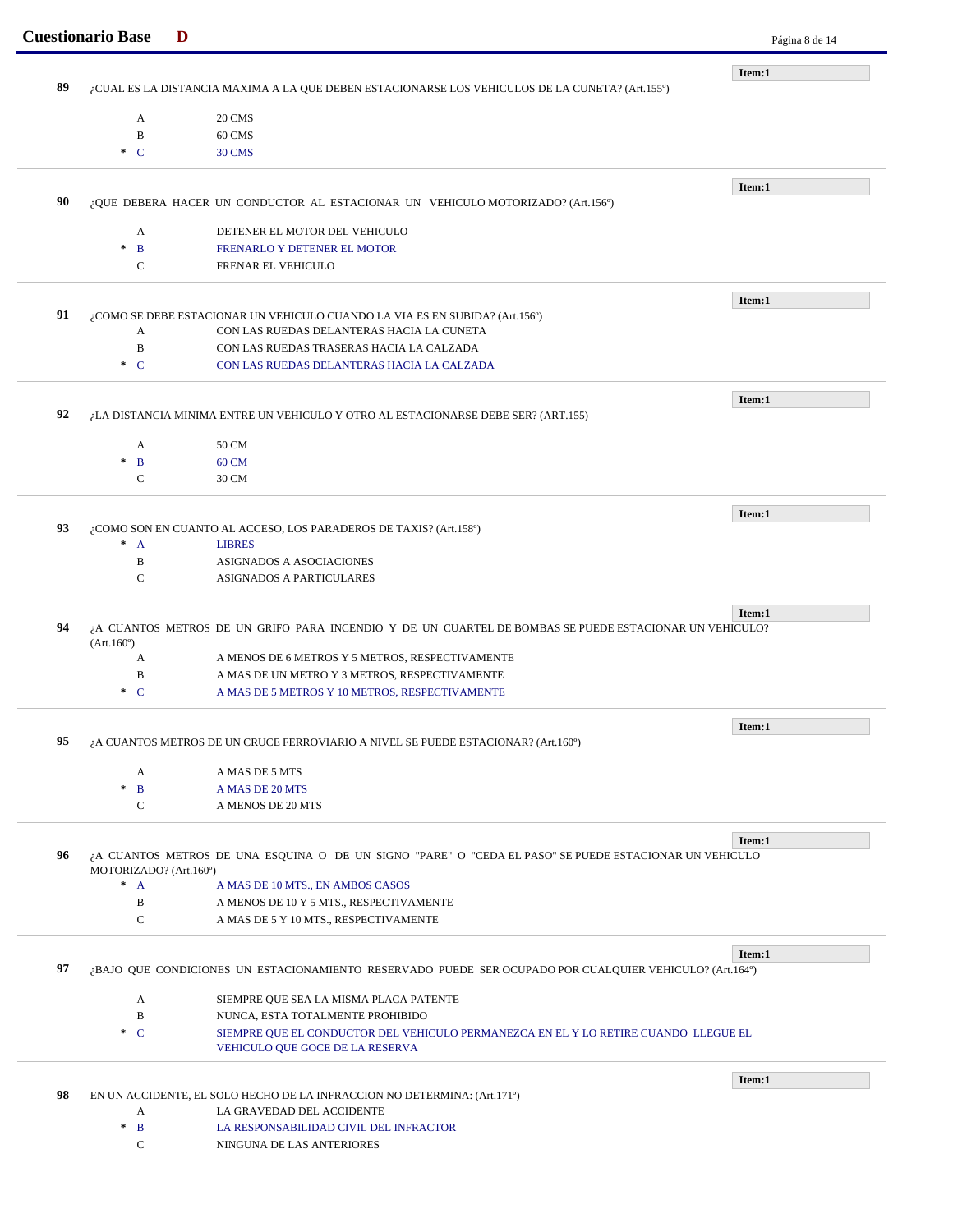|          | <b>Cuestionario Base</b><br>D |                                                                                                                        | Página 8 de 14 |
|----------|-------------------------------|------------------------------------------------------------------------------------------------------------------------|----------------|
|          |                               |                                                                                                                        | Item:1         |
| 89       |                               | ¿CUAL ES LA DISTANCIA MAXIMA A LA QUE DEBEN ESTACIONARSE LOS VEHICULOS DE LA CUNETA? (Art.155º)                        |                |
|          | A                             | 20 CMS                                                                                                                 |                |
|          | B                             | 60 CMS                                                                                                                 |                |
|          | $\cdot$ C                     | 30 CMS                                                                                                                 |                |
|          |                               |                                                                                                                        | Item:1         |
| 90       |                               | ¿QUE DEBERA HACER UN CONDUCTOR AL ESTACIONAR UN VEHICULO MOTORIZADO? (Art.156°)                                        |                |
|          | A                             | DETENER EL MOTOR DEL VEHICULO                                                                                          |                |
|          | B<br>$\mathcal{R}$            | FRENARLO Y DETENER EL MOTOR                                                                                            |                |
|          | $\mathcal{C}$                 | FRENAR EL VEHICULO                                                                                                     |                |
|          |                               |                                                                                                                        | Item:1         |
| 91       |                               | ¿COMO SE DEBE ESTACIONAR UN VEHICULO CUANDO LA VIA ES EN SUBIDA? (Art.156º)                                            |                |
|          | A                             | CON LAS RUEDAS DELANTERAS HACIA LA CUNETA                                                                              |                |
|          | $\, {\bf B}$                  | CON LAS RUEDAS TRASERAS HACIA LA CALZADA                                                                               |                |
|          | $\ast$ C                      | CON LAS RUEDAS DELANTERAS HACIA LA CALZADA                                                                             |                |
|          |                               |                                                                                                                        | Item:1         |
| 92       |                               | ¿LA DISTANCIA MINIMA ENTRE UN VEHICULO Y OTRO AL ESTACIONARSE DEBE SER? (ART.155)                                      |                |
|          | A                             | 50 CM                                                                                                                  |                |
|          | $\mathbf{B}$<br>$\ast$        | 60 CM                                                                                                                  |                |
|          | $\mathbf C$                   | 30 CM                                                                                                                  |                |
|          |                               |                                                                                                                        | Item:1         |
| 93       |                               | ¿COMO SON EN CUANTO AL ACCESO, LOS PARADEROS DE TAXIS? (Art.158º)                                                      |                |
|          | $\ast$<br>$\mathbf{A}$        | <b>LIBRES</b>                                                                                                          |                |
|          | B                             | ASIGNADOS A ASOCIACIONES                                                                                               |                |
|          | $\mathbf C$                   | <b>ASIGNADOS A PARTICULARES</b>                                                                                        |                |
|          |                               |                                                                                                                        | Item:1         |
| 94       | (Art.160)                     | ¿A CUANTOS METROS DE UN GRIFO PARA INCENDIO Y DE UN CUARTEL DE BOMBAS SE PUEDE ESTACIONAR UN VEHICULO?                 |                |
|          | А                             | A MENOS DE 6 METROS Y 5 METROS, RESPECTIVAMENTE                                                                        |                |
|          | B                             | A MAS DE UN METRO Y 3 METROS, RESPECTIVAMENTE                                                                          |                |
|          | $\ast$ C                      |                                                                                                                        |                |
|          |                               | A MAS DE 5 METROS Y 10 METROS, RESPECTIVAMENTE                                                                         |                |
|          |                               |                                                                                                                        |                |
|          |                               | ¿A CUANTOS METROS DE UN CRUCE FERROVIARIO A NIVEL SE PUEDE ESTACIONAR? (Art.160°)                                      | Item:1         |
|          |                               |                                                                                                                        |                |
|          | A<br>$\ast$                   | A MAS DE 5 MTS                                                                                                         |                |
|          | $\mathbf{B}$<br>$\mathbf C$   | A MAS DE 20 MTS<br>A MENOS DE 20 MTS                                                                                   |                |
|          |                               |                                                                                                                        |                |
|          |                               | ¿A CUANTOS METROS DE UNA ESQUINA O DE UN SIGNO "PARE" O "CEDA EL PASO" SE PUEDE ESTACIONAR UN VEHICULO                 | Item:1         |
|          | MOTORIZADO? (Art.160°)        |                                                                                                                        |                |
|          | $^*$ A                        | A MAS DE 10 MTS., EN AMBOS CASOS                                                                                       |                |
|          | B                             | A MENOS DE 10 Y 5 MTS., RESPECTIVAMENTE                                                                                |                |
| 95<br>96 | $\mathbf C$                   | A MAS DE 5 Y 10 MTS., RESPECTIVAMENTE                                                                                  |                |
|          |                               |                                                                                                                        | Item:1         |
|          |                               | ¿BAJO QUE CONDICIONES UN ESTACIONAMIENTO RESERVADO PUEDE SER OCUPADO POR CUALQUIER VEHICULO? (Art.164º)                |                |
|          | A                             | SIEMPRE QUE SEA LA MISMA PLACA PATENTE                                                                                 |                |
|          | B                             | NUNCA, ESTA TOTALMENTE PROHIBIDO                                                                                       |                |
|          | $\cdot$ C                     | SIEMPRE QUE EL CONDUCTOR DEL VEHICULO PERMANEZCA EN EL Y LO RETIRE CUANDO LLEGUE EL<br>VEHICULO QUE GOCE DE LA RESERVA |                |
|          |                               |                                                                                                                        |                |
|          |                               | EN UN ACCIDENTE, EL SOLO HECHO DE LA INFRACCION NO DETERMINA: (Art.171º)                                               | Item:1         |
|          | А                             | LA GRAVEDAD DEL ACCIDENTE                                                                                              |                |
| 97<br>98 | $\mathbf{B}$<br>$\ast$        | LA RESPONSABILIDAD CIVIL DEL INFRACTOR                                                                                 |                |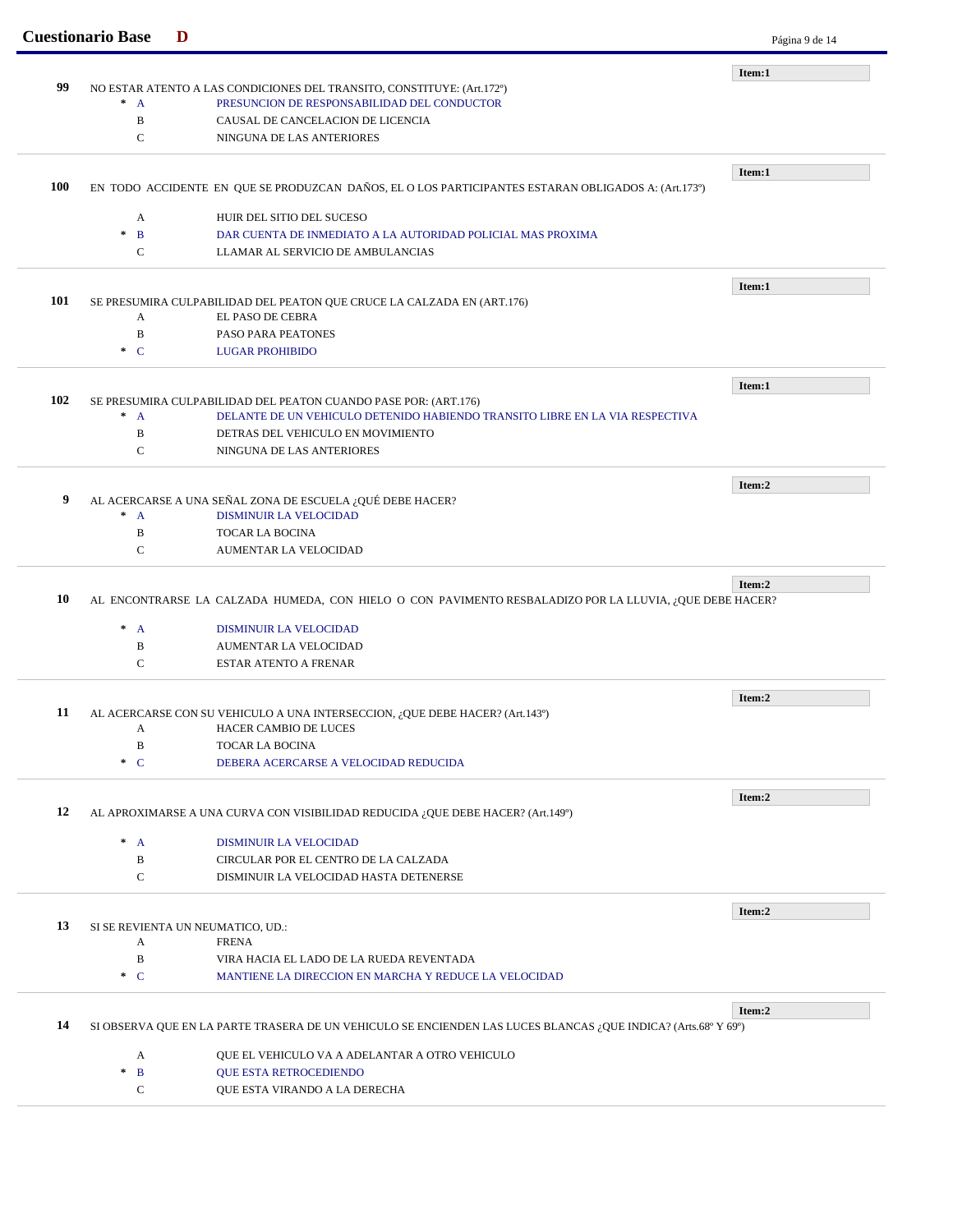| <b>Cuestionario Base</b><br>D |                                                                                                                | Página 9 de 14                                                                                                                                                                                                                                                                                                                                                                                                                                                                                                                                                                                                                                                                                          |
|-------------------------------|----------------------------------------------------------------------------------------------------------------|---------------------------------------------------------------------------------------------------------------------------------------------------------------------------------------------------------------------------------------------------------------------------------------------------------------------------------------------------------------------------------------------------------------------------------------------------------------------------------------------------------------------------------------------------------------------------------------------------------------------------------------------------------------------------------------------------------|
|                               |                                                                                                                | Item:1                                                                                                                                                                                                                                                                                                                                                                                                                                                                                                                                                                                                                                                                                                  |
|                               |                                                                                                                |                                                                                                                                                                                                                                                                                                                                                                                                                                                                                                                                                                                                                                                                                                         |
| $^*$ A                        | PRESUNCION DE RESPONSABILIDAD DEL CONDUCTOR                                                                    |                                                                                                                                                                                                                                                                                                                                                                                                                                                                                                                                                                                                                                                                                                         |
| B                             | CAUSAL DE CANCELACION DE LICENCIA                                                                              |                                                                                                                                                                                                                                                                                                                                                                                                                                                                                                                                                                                                                                                                                                         |
| C                             | NINGUNA DE LAS ANTERIORES                                                                                      |                                                                                                                                                                                                                                                                                                                                                                                                                                                                                                                                                                                                                                                                                                         |
|                               |                                                                                                                | Item:1                                                                                                                                                                                                                                                                                                                                                                                                                                                                                                                                                                                                                                                                                                  |
|                               |                                                                                                                |                                                                                                                                                                                                                                                                                                                                                                                                                                                                                                                                                                                                                                                                                                         |
|                               |                                                                                                                |                                                                                                                                                                                                                                                                                                                                                                                                                                                                                                                                                                                                                                                                                                         |
|                               |                                                                                                                |                                                                                                                                                                                                                                                                                                                                                                                                                                                                                                                                                                                                                                                                                                         |
|                               |                                                                                                                |                                                                                                                                                                                                                                                                                                                                                                                                                                                                                                                                                                                                                                                                                                         |
|                               |                                                                                                                |                                                                                                                                                                                                                                                                                                                                                                                                                                                                                                                                                                                                                                                                                                         |
|                               |                                                                                                                | Item:1                                                                                                                                                                                                                                                                                                                                                                                                                                                                                                                                                                                                                                                                                                  |
|                               |                                                                                                                |                                                                                                                                                                                                                                                                                                                                                                                                                                                                                                                                                                                                                                                                                                         |
|                               |                                                                                                                |                                                                                                                                                                                                                                                                                                                                                                                                                                                                                                                                                                                                                                                                                                         |
| B                             |                                                                                                                |                                                                                                                                                                                                                                                                                                                                                                                                                                                                                                                                                                                                                                                                                                         |
|                               |                                                                                                                |                                                                                                                                                                                                                                                                                                                                                                                                                                                                                                                                                                                                                                                                                                         |
|                               |                                                                                                                | Item:1                                                                                                                                                                                                                                                                                                                                                                                                                                                                                                                                                                                                                                                                                                  |
|                               |                                                                                                                |                                                                                                                                                                                                                                                                                                                                                                                                                                                                                                                                                                                                                                                                                                         |
| $^*$ A                        | DELANTE DE UN VEHICULO DETENIDO HABIENDO TRANSITO LIBRE EN LA VIA RESPECTIVA                                   |                                                                                                                                                                                                                                                                                                                                                                                                                                                                                                                                                                                                                                                                                                         |
| B                             | DETRAS DEL VEHICULO EN MOVIMIENTO                                                                              |                                                                                                                                                                                                                                                                                                                                                                                                                                                                                                                                                                                                                                                                                                         |
| $\mathbf C$                   | NINGUNA DE LAS ANTERIORES                                                                                      |                                                                                                                                                                                                                                                                                                                                                                                                                                                                                                                                                                                                                                                                                                         |
|                               |                                                                                                                | Item:2                                                                                                                                                                                                                                                                                                                                                                                                                                                                                                                                                                                                                                                                                                  |
|                               |                                                                                                                |                                                                                                                                                                                                                                                                                                                                                                                                                                                                                                                                                                                                                                                                                                         |
| $^*$ A                        | <b>DISMINUIR LA VELOCIDAD</b>                                                                                  |                                                                                                                                                                                                                                                                                                                                                                                                                                                                                                                                                                                                                                                                                                         |
| B                             | <b>TOCAR LA BOCINA</b>                                                                                         |                                                                                                                                                                                                                                                                                                                                                                                                                                                                                                                                                                                                                                                                                                         |
| $\mathbf C$                   | <b>AUMENTAR LA VELOCIDAD</b>                                                                                   |                                                                                                                                                                                                                                                                                                                                                                                                                                                                                                                                                                                                                                                                                                         |
|                               |                                                                                                                | Item:2                                                                                                                                                                                                                                                                                                                                                                                                                                                                                                                                                                                                                                                                                                  |
|                               |                                                                                                                |                                                                                                                                                                                                                                                                                                                                                                                                                                                                                                                                                                                                                                                                                                         |
|                               |                                                                                                                |                                                                                                                                                                                                                                                                                                                                                                                                                                                                                                                                                                                                                                                                                                         |
| $^*$ A                        | DISMINUIR LA VELOCIDAD                                                                                         |                                                                                                                                                                                                                                                                                                                                                                                                                                                                                                                                                                                                                                                                                                         |
| B<br>C                        | AUMENTAR LA VELOCIDAD<br><b>ESTAR ATENTO A FRENAR</b>                                                          |                                                                                                                                                                                                                                                                                                                                                                                                                                                                                                                                                                                                                                                                                                         |
|                               |                                                                                                                |                                                                                                                                                                                                                                                                                                                                                                                                                                                                                                                                                                                                                                                                                                         |
|                               |                                                                                                                | Item:2                                                                                                                                                                                                                                                                                                                                                                                                                                                                                                                                                                                                                                                                                                  |
|                               | AL ACERCARSE CON SU VEHICULO A UNA INTERSECCION, ¿QUE DEBE HACER? (Art.143º)                                   |                                                                                                                                                                                                                                                                                                                                                                                                                                                                                                                                                                                                                                                                                                         |
| A                             | HACER CAMBIO DE LUCES                                                                                          |                                                                                                                                                                                                                                                                                                                                                                                                                                                                                                                                                                                                                                                                                                         |
| B                             | TOCAR LA BOCINA                                                                                                |                                                                                                                                                                                                                                                                                                                                                                                                                                                                                                                                                                                                                                                                                                         |
| $\ast$ C                      | DEBERA ACERCARSE A VELOCIDAD REDUCIDA                                                                          |                                                                                                                                                                                                                                                                                                                                                                                                                                                                                                                                                                                                                                                                                                         |
|                               |                                                                                                                | Item:2                                                                                                                                                                                                                                                                                                                                                                                                                                                                                                                                                                                                                                                                                                  |
|                               | AL APROXIMARSE A UNA CURVA CON VISIBILIDAD REDUCIDA ¿QUE DEBE HACER? (Art.149°)                                |                                                                                                                                                                                                                                                                                                                                                                                                                                                                                                                                                                                                                                                                                                         |
| $^*$ A                        | DISMINUIR LA VELOCIDAD                                                                                         |                                                                                                                                                                                                                                                                                                                                                                                                                                                                                                                                                                                                                                                                                                         |
| B                             | CIRCULAR POR EL CENTRO DE LA CALZADA                                                                           |                                                                                                                                                                                                                                                                                                                                                                                                                                                                                                                                                                                                                                                                                                         |
| $\mathbf C$                   | DISMINUIR LA VELOCIDAD HASTA DETENERSE                                                                         |                                                                                                                                                                                                                                                                                                                                                                                                                                                                                                                                                                                                                                                                                                         |
|                               |                                                                                                                |                                                                                                                                                                                                                                                                                                                                                                                                                                                                                                                                                                                                                                                                                                         |
|                               | SI SE REVIENTA UN NEUMATICO, UD.:                                                                              | Item:2                                                                                                                                                                                                                                                                                                                                                                                                                                                                                                                                                                                                                                                                                                  |
| A                             | <b>FRENA</b>                                                                                                   |                                                                                                                                                                                                                                                                                                                                                                                                                                                                                                                                                                                                                                                                                                         |
| B                             | VIRA HACIA EL LADO DE LA RUEDA REVENTADA                                                                       |                                                                                                                                                                                                                                                                                                                                                                                                                                                                                                                                                                                                                                                                                                         |
| $\cdot C$                     | MANTIENE LA DIRECCION EN MARCHA Y REDUCE LA VELOCIDAD                                                          |                                                                                                                                                                                                                                                                                                                                                                                                                                                                                                                                                                                                                                                                                                         |
|                               |                                                                                                                | Item:2                                                                                                                                                                                                                                                                                                                                                                                                                                                                                                                                                                                                                                                                                                  |
|                               | SI OBSERVA QUE EN LA PARTE TRASERA DE UN VEHICULO SE ENCIENDEN LAS LUCES BLANCAS ¿QUE INDICA? (Arts.68º Y 69º) |                                                                                                                                                                                                                                                                                                                                                                                                                                                                                                                                                                                                                                                                                                         |
|                               |                                                                                                                |                                                                                                                                                                                                                                                                                                                                                                                                                                                                                                                                                                                                                                                                                                         |
| A<br>$\ast$<br>$\mathbf{B}$   | QUE EL VEHICULO VA A ADELANTAR A OTRO VEHICULO<br>QUE ESTA RETROCEDIENDO                                       |                                                                                                                                                                                                                                                                                                                                                                                                                                                                                                                                                                                                                                                                                                         |
|                               | A<br>$\ast$<br>$\mathbf{B}$<br>$\mathbf C$<br>A<br>$\ast$ C                                                    | NO ESTAR ATENTO A LAS CONDICIONES DEL TRANSITO, CONSTITUYE: (Art.172º)<br>EN TODO ACCIDENTE EN QUE SE PRODUZCAN DAÑOS, EL O LOS PARTICIPANTES ESTARAN OBLIGADOS A: (Art.173º)<br>HUIR DEL SITIO DEL SUCESO<br>DAR CUENTA DE INMEDIATO A LA AUTORIDAD POLICIAL MAS PROXIMA<br>LLAMAR AL SERVICIO DE AMBULANCIAS<br>SE PRESUMIRA CULPABILIDAD DEL PEATON QUE CRUCE LA CALZADA EN (ART.176)<br>EL PASO DE CEBRA<br>PASO PARA PEATONES<br><b>LUGAR PROHIBIDO</b><br>SE PRESUMIRA CULPABILIDAD DEL PEATON CUANDO PASE POR: (ART.176)<br>AL ACERCARSE A UNA SEÑAL ZONA DE ESCUELA ¿QUÉ DEBE HACER?<br>AL ENCONTRARSE LA CALZADA HUMEDA, CON HIELO O CON PAVIMENTO RESBALADIZO POR LA LLUVIA, ¿QUE DEBE HACER? |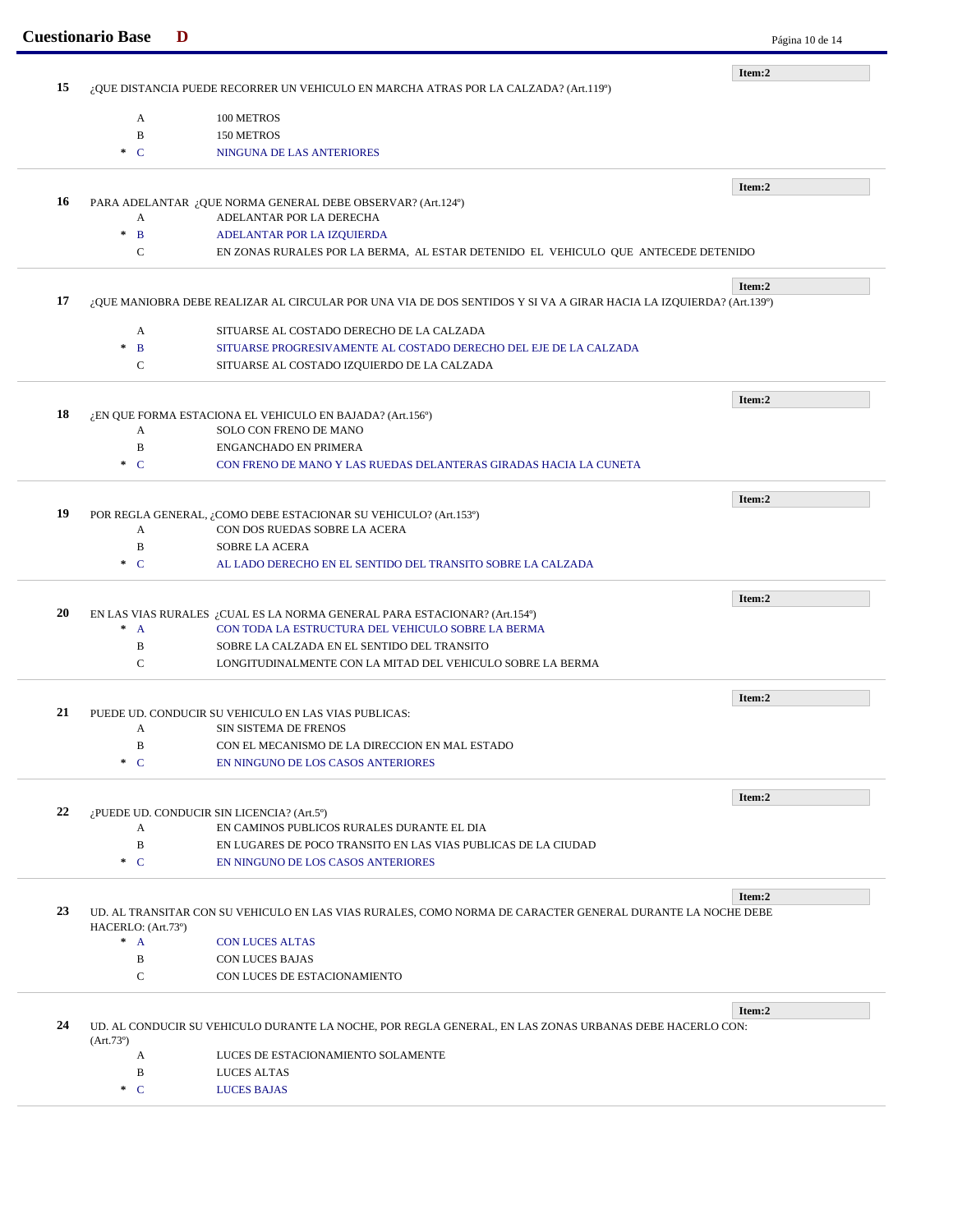|                                                                                                                    |                                                                                      | Item:2                                                                                                                                                                                                                                                                                                                                                                                                                                                                                                                                                                                                                                                                                                                                                                            |  |  |
|--------------------------------------------------------------------------------------------------------------------|--------------------------------------------------------------------------------------|-----------------------------------------------------------------------------------------------------------------------------------------------------------------------------------------------------------------------------------------------------------------------------------------------------------------------------------------------------------------------------------------------------------------------------------------------------------------------------------------------------------------------------------------------------------------------------------------------------------------------------------------------------------------------------------------------------------------------------------------------------------------------------------|--|--|
|                                                                                                                    |                                                                                      |                                                                                                                                                                                                                                                                                                                                                                                                                                                                                                                                                                                                                                                                                                                                                                                   |  |  |
|                                                                                                                    | ¿QUE DISTANCIA PUEDE RECORRER UN VEHICULO EN MARCHA ATRAS POR LA CALZADA? (Art.119°) |                                                                                                                                                                                                                                                                                                                                                                                                                                                                                                                                                                                                                                                                                                                                                                                   |  |  |
| A                                                                                                                  | 100 METROS                                                                           |                                                                                                                                                                                                                                                                                                                                                                                                                                                                                                                                                                                                                                                                                                                                                                                   |  |  |
| $\, {\bf B}$                                                                                                       | 150 METROS                                                                           |                                                                                                                                                                                                                                                                                                                                                                                                                                                                                                                                                                                                                                                                                                                                                                                   |  |  |
| $\ast$ C                                                                                                           | NINGUNA DE LAS ANTERIORES                                                            |                                                                                                                                                                                                                                                                                                                                                                                                                                                                                                                                                                                                                                                                                                                                                                                   |  |  |
|                                                                                                                    |                                                                                      | Item:2                                                                                                                                                                                                                                                                                                                                                                                                                                                                                                                                                                                                                                                                                                                                                                            |  |  |
|                                                                                                                    |                                                                                      |                                                                                                                                                                                                                                                                                                                                                                                                                                                                                                                                                                                                                                                                                                                                                                                   |  |  |
| $\pm$                                                                                                              |                                                                                      |                                                                                                                                                                                                                                                                                                                                                                                                                                                                                                                                                                                                                                                                                                                                                                                   |  |  |
|                                                                                                                    |                                                                                      |                                                                                                                                                                                                                                                                                                                                                                                                                                                                                                                                                                                                                                                                                                                                                                                   |  |  |
|                                                                                                                    |                                                                                      |                                                                                                                                                                                                                                                                                                                                                                                                                                                                                                                                                                                                                                                                                                                                                                                   |  |  |
|                                                                                                                    |                                                                                      | Item:2                                                                                                                                                                                                                                                                                                                                                                                                                                                                                                                                                                                                                                                                                                                                                                            |  |  |
| ¿QUE MANIOBRA DEBE REALIZAR AL CIRCULAR POR UNA VIA DE DOS SENTIDOS Y SI VA A GIRAR HACIA LA IZQUIERDA? (Art.139º) |                                                                                      |                                                                                                                                                                                                                                                                                                                                                                                                                                                                                                                                                                                                                                                                                                                                                                                   |  |  |
| A                                                                                                                  | SITUARSE AL COSTADO DERECHO DE LA CALZADA                                            |                                                                                                                                                                                                                                                                                                                                                                                                                                                                                                                                                                                                                                                                                                                                                                                   |  |  |
| $\pm$<br>B                                                                                                         | SITUARSE PROGRESIVAMENTE AL COSTADO DERECHO DEL EJE DE LA CALZADA                    |                                                                                                                                                                                                                                                                                                                                                                                                                                                                                                                                                                                                                                                                                                                                                                                   |  |  |
| $\mathbf C$                                                                                                        | SITUARSE AL COSTADO IZQUIERDO DE LA CALZADA                                          |                                                                                                                                                                                                                                                                                                                                                                                                                                                                                                                                                                                                                                                                                                                                                                                   |  |  |
|                                                                                                                    |                                                                                      | Item:2                                                                                                                                                                                                                                                                                                                                                                                                                                                                                                                                                                                                                                                                                                                                                                            |  |  |
|                                                                                                                    |                                                                                      |                                                                                                                                                                                                                                                                                                                                                                                                                                                                                                                                                                                                                                                                                                                                                                                   |  |  |
| A                                                                                                                  | <b>SOLO CON FRENO DE MANO</b>                                                        |                                                                                                                                                                                                                                                                                                                                                                                                                                                                                                                                                                                                                                                                                                                                                                                   |  |  |
| $\bf{B}$                                                                                                           | <b>ENGANCHADO EN PRIMERA</b>                                                         |                                                                                                                                                                                                                                                                                                                                                                                                                                                                                                                                                                                                                                                                                                                                                                                   |  |  |
| $\ast$ C                                                                                                           | CON FRENO DE MANO Y LAS RUEDAS DELANTERAS GIRADAS HACIA LA CUNETA                    |                                                                                                                                                                                                                                                                                                                                                                                                                                                                                                                                                                                                                                                                                                                                                                                   |  |  |
|                                                                                                                    |                                                                                      | Item:2                                                                                                                                                                                                                                                                                                                                                                                                                                                                                                                                                                                                                                                                                                                                                                            |  |  |
|                                                                                                                    |                                                                                      |                                                                                                                                                                                                                                                                                                                                                                                                                                                                                                                                                                                                                                                                                                                                                                                   |  |  |
| A                                                                                                                  | CON DOS RUEDAS SOBRE LA ACERA                                                        |                                                                                                                                                                                                                                                                                                                                                                                                                                                                                                                                                                                                                                                                                                                                                                                   |  |  |
| B                                                                                                                  | <b>SOBRE LA ACERA</b>                                                                |                                                                                                                                                                                                                                                                                                                                                                                                                                                                                                                                                                                                                                                                                                                                                                                   |  |  |
| $\ast$ C                                                                                                           | AL LADO DERECHO EN EL SENTIDO DEL TRANSITO SOBRE LA CALZADA                          |                                                                                                                                                                                                                                                                                                                                                                                                                                                                                                                                                                                                                                                                                                                                                                                   |  |  |
|                                                                                                                    |                                                                                      | Item:2                                                                                                                                                                                                                                                                                                                                                                                                                                                                                                                                                                                                                                                                                                                                                                            |  |  |
|                                                                                                                    |                                                                                      |                                                                                                                                                                                                                                                                                                                                                                                                                                                                                                                                                                                                                                                                                                                                                                                   |  |  |
| $\pm$<br>$\mathbf{A}$                                                                                              | CON TODA LA ESTRUCTURA DEL VEHICULO SOBRE LA BERMA                                   |                                                                                                                                                                                                                                                                                                                                                                                                                                                                                                                                                                                                                                                                                                                                                                                   |  |  |
| B                                                                                                                  | SOBRE LA CALZADA EN EL SENTIDO DEL TRANSITO                                          |                                                                                                                                                                                                                                                                                                                                                                                                                                                                                                                                                                                                                                                                                                                                                                                   |  |  |
| $\mathbf C$                                                                                                        | LONGITUDINALMENTE CON LA MITAD DEL VEHICULO SOBRE LA BERMA                           |                                                                                                                                                                                                                                                                                                                                                                                                                                                                                                                                                                                                                                                                                                                                                                                   |  |  |
|                                                                                                                    |                                                                                      | Item:2                                                                                                                                                                                                                                                                                                                                                                                                                                                                                                                                                                                                                                                                                                                                                                            |  |  |
|                                                                                                                    |                                                                                      |                                                                                                                                                                                                                                                                                                                                                                                                                                                                                                                                                                                                                                                                                                                                                                                   |  |  |
|                                                                                                                    |                                                                                      |                                                                                                                                                                                                                                                                                                                                                                                                                                                                                                                                                                                                                                                                                                                                                                                   |  |  |
| B                                                                                                                  | CON EL MECANISMO DE LA DIRECCION EN MAL ESTADO                                       |                                                                                                                                                                                                                                                                                                                                                                                                                                                                                                                                                                                                                                                                                                                                                                                   |  |  |
| $C^*$                                                                                                              | EN NINGUNO DE LOS CASOS ANTERIORES                                                   |                                                                                                                                                                                                                                                                                                                                                                                                                                                                                                                                                                                                                                                                                                                                                                                   |  |  |
|                                                                                                                    |                                                                                      |                                                                                                                                                                                                                                                                                                                                                                                                                                                                                                                                                                                                                                                                                                                                                                                   |  |  |
|                                                                                                                    |                                                                                      | Item:2                                                                                                                                                                                                                                                                                                                                                                                                                                                                                                                                                                                                                                                                                                                                                                            |  |  |
| A                                                                                                                  | EN CAMINOS PUBLICOS RURALES DURANTE EL DIA                                           |                                                                                                                                                                                                                                                                                                                                                                                                                                                                                                                                                                                                                                                                                                                                                                                   |  |  |
| B                                                                                                                  | EN LUGARES DE POCO TRANSITO EN LAS VIAS PUBLICAS DE LA CIUDAD                        |                                                                                                                                                                                                                                                                                                                                                                                                                                                                                                                                                                                                                                                                                                                                                                                   |  |  |
| $\cdot$ C                                                                                                          | EN NINGUNO DE LOS CASOS ANTERIORES                                                   |                                                                                                                                                                                                                                                                                                                                                                                                                                                                                                                                                                                                                                                                                                                                                                                   |  |  |
|                                                                                                                    |                                                                                      | Item:2                                                                                                                                                                                                                                                                                                                                                                                                                                                                                                                                                                                                                                                                                                                                                                            |  |  |
|                                                                                                                    |                                                                                      |                                                                                                                                                                                                                                                                                                                                                                                                                                                                                                                                                                                                                                                                                                                                                                                   |  |  |
| HACERLO: (Art.73°)                                                                                                 |                                                                                      |                                                                                                                                                                                                                                                                                                                                                                                                                                                                                                                                                                                                                                                                                                                                                                                   |  |  |
| $^*$ A                                                                                                             | <b>CON LUCES ALTAS</b>                                                               |                                                                                                                                                                                                                                                                                                                                                                                                                                                                                                                                                                                                                                                                                                                                                                                   |  |  |
| B                                                                                                                  | <b>CON LUCES BAJAS</b>                                                               |                                                                                                                                                                                                                                                                                                                                                                                                                                                                                                                                                                                                                                                                                                                                                                                   |  |  |
| $\mathbf C$                                                                                                        | CON LUCES DE ESTACIONAMIENTO                                                         |                                                                                                                                                                                                                                                                                                                                                                                                                                                                                                                                                                                                                                                                                                                                                                                   |  |  |
|                                                                                                                    |                                                                                      | Item:2                                                                                                                                                                                                                                                                                                                                                                                                                                                                                                                                                                                                                                                                                                                                                                            |  |  |
|                                                                                                                    |                                                                                      |                                                                                                                                                                                                                                                                                                                                                                                                                                                                                                                                                                                                                                                                                                                                                                                   |  |  |
| (Art.73)                                                                                                           | LUCES DE ESTACIONAMIENTO SOLAMENTE                                                   |                                                                                                                                                                                                                                                                                                                                                                                                                                                                                                                                                                                                                                                                                                                                                                                   |  |  |
|                                                                                                                    |                                                                                      |                                                                                                                                                                                                                                                                                                                                                                                                                                                                                                                                                                                                                                                                                                                                                                                   |  |  |
| A<br>$\, {\bf B}$                                                                                                  | LUCES ALTAS                                                                          |                                                                                                                                                                                                                                                                                                                                                                                                                                                                                                                                                                                                                                                                                                                                                                                   |  |  |
|                                                                                                                    | A<br>$\mathbf{B}$<br>$\mathbf C$<br>A                                                | PARA ADELANTAR ¿QUE NORMA GENERAL DEBE OBSERVAR? (Art.124º)<br>ADELANTAR POR LA DERECHA<br>ADELANTAR POR LA IZQUIERDA<br>EN ZONAS RURALES POR LA BERMA, AL ESTAR DETENIDO EL VEHICULO QUE ANTECEDE DETENIDO<br>¿EN QUE FORMA ESTACIONA EL VEHICULO EN BAJADA? (Art.156º)<br>POR REGLA GENERAL, ¿COMO DEBE ESTACIONAR SU VEHICULO? (Art.153º)<br>EN LAS VIAS RURALES ¿CUAL ES LA NORMA GENERAL PARA ESTACIONAR? (Art.154º)<br>PUEDE UD. CONDUCIR SU VEHICULO EN LAS VIAS PUBLICAS:<br>SIN SISTEMA DE FRENOS<br>¿PUEDE UD. CONDUCIR SIN LICENCIA? (Art.5°)<br>UD. AL TRANSITAR CON SU VEHICULO EN LAS VIAS RURALES. COMO NORMA DE CARACTER GENERAL DURANTE LA NOCHE DEBE<br>UD. AL CONDUCIR SU VEHICULO DURANTE LA NOCHE, POR REGLA GENERAL, EN LAS ZONAS URBANAS DEBE HACERLO CON: |  |  |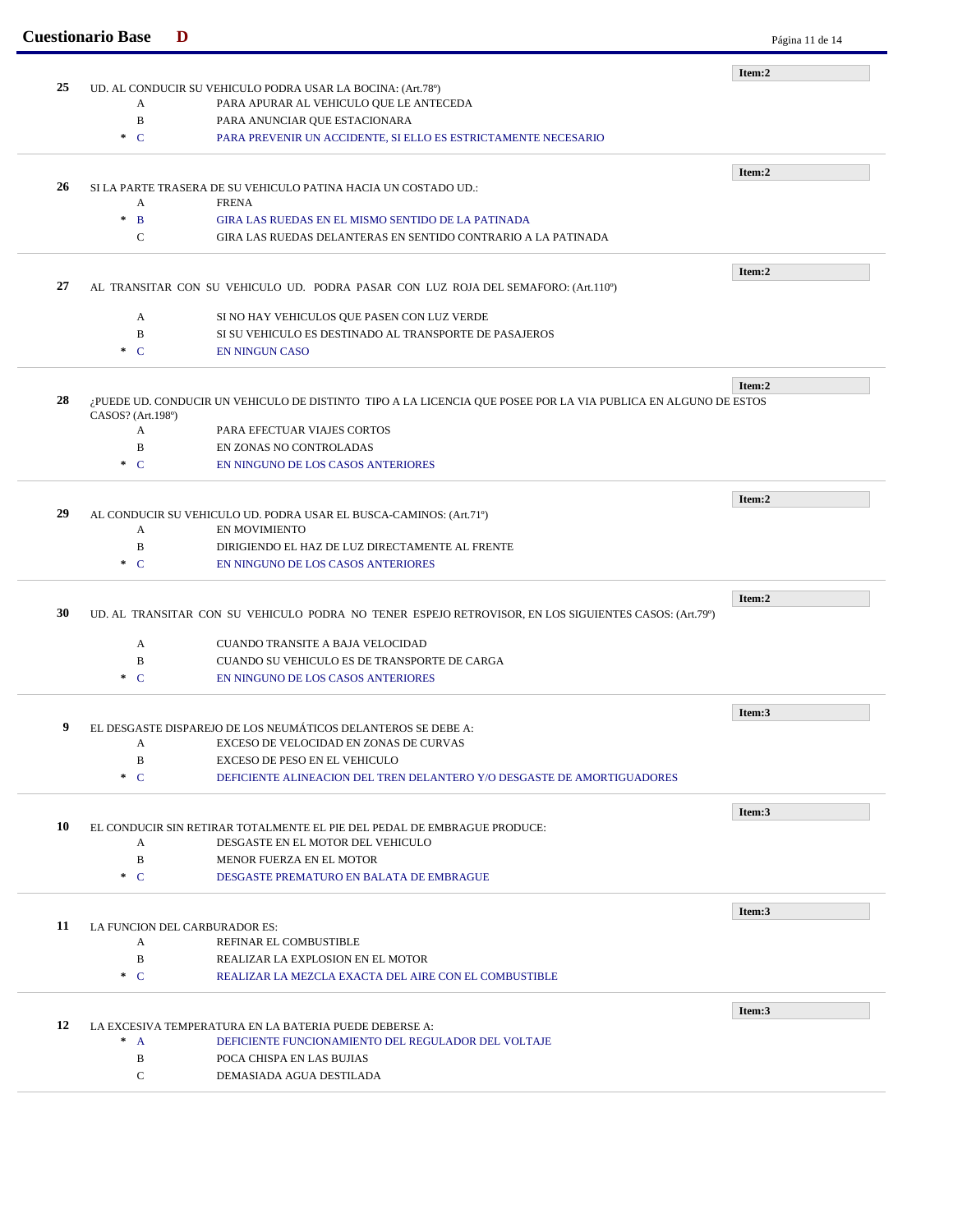|    | <b>Cuestionario Base</b>        | D                                                                                                              | Página 11 de 14 |
|----|---------------------------------|----------------------------------------------------------------------------------------------------------------|-----------------|
|    |                                 |                                                                                                                | Item:2          |
| 25 |                                 | UD. AL CONDUCIR SU VEHICULO PODRA USAR LA BOCINA: (Art. 78º)                                                   |                 |
|    | A                               | PARA APURAR AL VEHICULO QUE LE ANTECEDA                                                                        |                 |
|    | $\mathbf B$                     | PARA ANUNCIAR QUE ESTACIONARA                                                                                  |                 |
|    | $C^*$                           | PARA PREVENIR UN ACCIDENTE, SI ELLO ES ESTRICTAMENTE NECESARIO                                                 |                 |
|    |                                 |                                                                                                                | Item:2          |
| 26 |                                 | SI LA PARTE TRASERA DE SU VEHICULO PATINA HACIA UN COSTADO UD.:                                                |                 |
|    | A                               | <b>FRENA</b>                                                                                                   |                 |
|    | $\mathcal{H}$<br>$\overline{B}$ | GIRA LAS RUEDAS EN EL MISMO SENTIDO DE LA PATINADA                                                             |                 |
|    | $\mathbf C$                     | GIRA LAS RUEDAS DELANTERAS EN SENTIDO CONTRARIO A LA PATINADA                                                  |                 |
|    |                                 |                                                                                                                |                 |
| 27 |                                 | AL TRANSITAR CON SU VEHICULO UD. PODRA PASAR CON LUZ ROJA DEL SEMAFORO: (Art.110°)                             | Item:2          |
|    |                                 |                                                                                                                |                 |
|    | A                               | SI NO HAY VEHICULOS QUE PASEN CON LUZ VERDE                                                                    |                 |
|    | B                               | SI SU VEHICULO ES DESTINADO AL TRANSPORTE DE PASAJEROS                                                         |                 |
|    | $C^*$                           | <b>EN NINGUN CASO</b>                                                                                          |                 |
|    |                                 |                                                                                                                | Item:2          |
| 28 |                                 | ¿PUEDE UD. CONDUCIR UN VEHICULO DE DISTINTO TIPO A LA LICENCIA QUE POSEE POR LA VIA PUBLICA EN ALGUNO DE ESTOS |                 |
|    | CASOS? (Art.198 <sup>0</sup> )  |                                                                                                                |                 |
|    | A                               | PARA EFECTUAR VIAJES CORTOS                                                                                    |                 |
|    | $\, {\bf B}$                    | EN ZONAS NO CONTROLADAS                                                                                        |                 |
|    | $C^*$                           | EN NINGUNO DE LOS CASOS ANTERIORES                                                                             |                 |
|    |                                 |                                                                                                                | Item:2          |
| 29 |                                 | AL CONDUCIR SU VEHICULO UD. PODRA USAR EL BUSCA-CAMINOS: (Art.71º)                                             |                 |
|    | A                               | <b>EN MOVIMIENTO</b>                                                                                           |                 |
|    | $\mathbf B$                     | DIRIGIENDO EL HAZ DE LUZ DIRECTAMENTE AL FRENTE                                                                |                 |
|    | $\cdot$ C                       | EN NINGUNO DE LOS CASOS ANTERIORES                                                                             |                 |
|    |                                 |                                                                                                                |                 |
| 30 |                                 |                                                                                                                | Item:2          |
|    |                                 | UD. AL TRANSITAR CON SU VEHICULO PODRA NO TENER ESPEJO RETROVISOR, EN LOS SIGUIENTES CASOS: (Art.79°)          |                 |
|    | A                               | <b>CUANDO TRANSITE A BAJA VELOCIDAD</b>                                                                        |                 |
|    | B                               | CUANDO SU VEHICULO ES DE TRANSPORTE DE CARGA                                                                   |                 |
|    | $C^*$                           | EN NINGUNO DE LOS CASOS ANTERIORES                                                                             |                 |
|    |                                 |                                                                                                                |                 |
| 9  |                                 | EL DESGASTE DISPAREJO DE LOS NEUMATICOS DELANTEROS SE DEBE A:                                                  | Item:3          |
|    | A                               | EXCESO DE VELOCIDAD EN ZONAS DE CURVAS                                                                         |                 |
|    | $\mathbf B$                     | EXCESO DE PESO EN EL VEHICULO                                                                                  |                 |
|    | $\ast$ C                        | DEFICIENTE ALINEACION DEL TREN DELANTERO Y/O DESGASTE DE AMORTIGUADORES                                        |                 |
|    |                                 |                                                                                                                |                 |
|    |                                 |                                                                                                                | Item:3          |
| 10 | $\mathbf{A}$                    | EL CONDUCIR SIN RETIRAR TOTALMENTE EL PIE DEL PEDAL DE EMBRAGUE PRODUCE:<br>DESGASTE EN EL MOTOR DEL VEHICULO  |                 |
|    | B                               | MENOR FUERZA EN EL MOTOR                                                                                       |                 |
|    | $\ast$ C                        | DESGASTE PREMATURO EN BALATA DE EMBRAGUE                                                                       |                 |
|    |                                 |                                                                                                                |                 |
|    |                                 |                                                                                                                | Item:3          |
| 11 |                                 | LA FUNCION DEL CARBURADOR ES:                                                                                  |                 |
|    | A                               | REFINAR EL COMBUSTIBLE                                                                                         |                 |
|    | B                               | REALIZAR LA EXPLOSION EN EL MOTOR                                                                              |                 |
|    | $C^*$                           | REALIZAR LA MEZCLA EXACTA DEL AIRE CON EL COMBUSTIBLE                                                          |                 |
|    |                                 |                                                                                                                | Item:3          |
| 12 |                                 | LA EXCESIVA TEMPERATURA EN LA BATERIA PUEDE DEBERSE A:                                                         |                 |
|    | $^*$ A                          | DEFICIENTE FUNCIONAMIENTO DEL REGULADOR DEL VOLTAJE                                                            |                 |
|    | B                               | POCA CHISPA EN LAS BUJIAS                                                                                      |                 |
|    | C                               | DEMASIADA AGUA DESTILADA                                                                                       |                 |
|    |                                 |                                                                                                                |                 |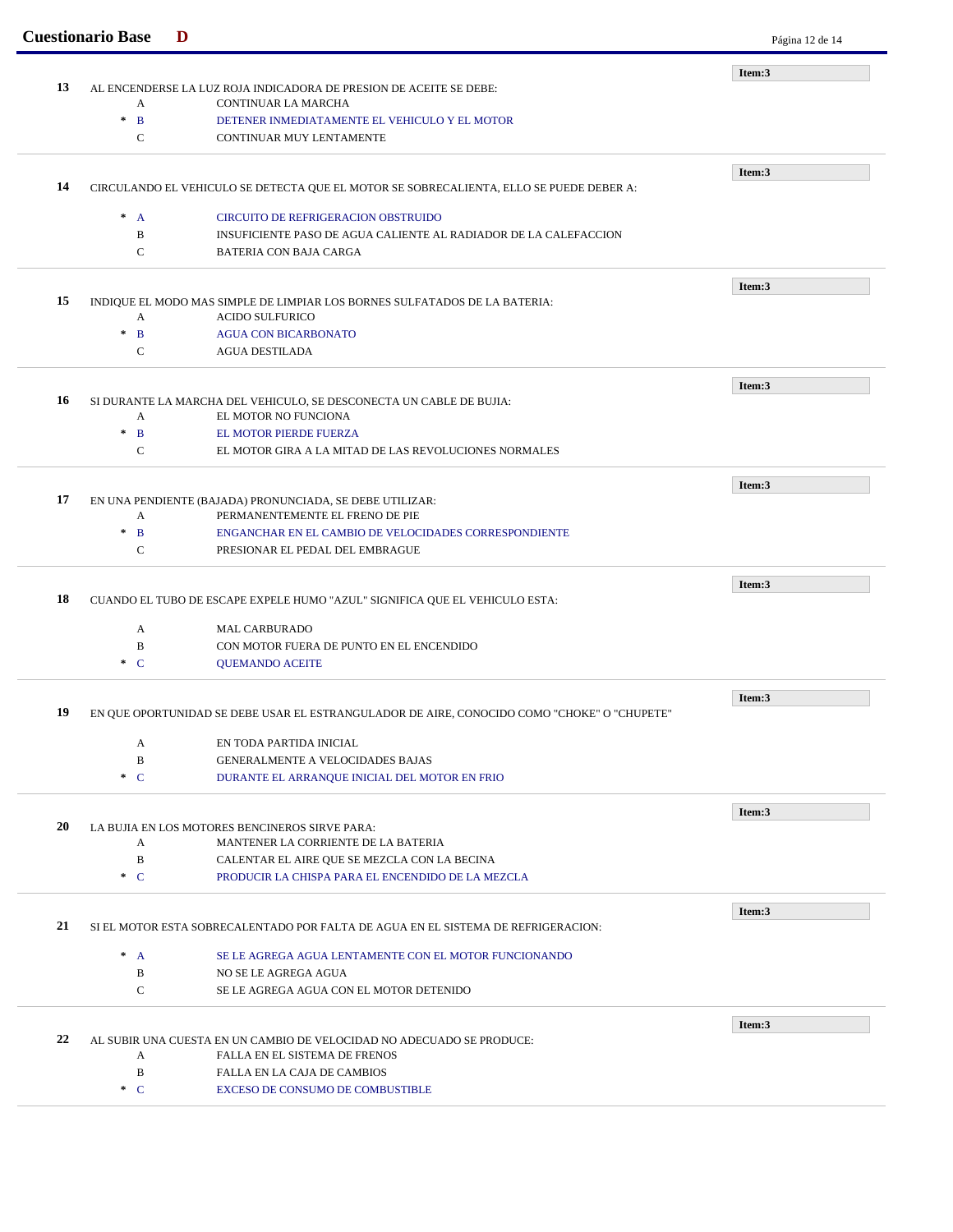|    | <b>Cuestionario Base</b> | D                                                                                                 | Página 12 de 14 |
|----|--------------------------|---------------------------------------------------------------------------------------------------|-----------------|
|    |                          |                                                                                                   | Item:3          |
| 13 | A                        | AL ENCENDERSE LA LUZ ROJA INDICADORA DE PRESION DE ACEITE SE DEBE:<br><b>CONTINUAR LA MARCHA</b>  |                 |
|    | $\ast$<br>$\mathbf{B}$   | DETENER INMEDIATAMENTE EL VEHICULO Y EL MOTOR                                                     |                 |
|    | $\mathbf C$              | CONTINUAR MUY LENTAMENTE                                                                          |                 |
|    |                          |                                                                                                   |                 |
|    |                          |                                                                                                   | Item:3          |
| 14 |                          | CIRCULANDO EL VEHICULO SE DETECTA QUE EL MOTOR SE SOBRECALIENTA, ELLO SE PUEDE DEBER A:           |                 |
|    | $^*$ A                   | <b>CIRCUITO DE REFRIGERACION OBSTRUIDO</b>                                                        |                 |
|    | B                        | INSUFICIENTE PASO DE AGUA CALIENTE AL RADIADOR DE LA CALEFACCION                                  |                 |
|    | $\mathbf C$              | <b>BATERIA CON BAJA CARGA</b>                                                                     |                 |
|    |                          |                                                                                                   | Item:3          |
| 15 |                          | INDIQUE EL MODO MAS SIMPLE DE LIMPIAR LOS BORNES SULFATADOS DE LA BATERIA:                        |                 |
|    | A                        | <b>ACIDO SULFURICO</b>                                                                            |                 |
|    | $\ast$<br>$\mathbf{B}$   | <b>AGUA CON BICARBONATO</b>                                                                       |                 |
|    | $\mathbf C$              | <b>AGUA DESTILADA</b>                                                                             |                 |
|    |                          |                                                                                                   | Item:3          |
| 16 |                          | SI DURANTE LA MARCHA DEL VEHICULO, SE DESCONECTA UN CABLE DE BUJIA:                               |                 |
|    | A                        | EL MOTOR NO FUNCIONA                                                                              |                 |
|    | $\ast$<br>$\mathbf{B}$   | <b>EL MOTOR PIERDE FUERZA</b>                                                                     |                 |
|    | $\mathbf C$              | EL MOTOR GIRA A LA MITAD DE LAS REVOLUCIONES NORMALES                                             |                 |
|    |                          |                                                                                                   | Item:3          |
| 17 |                          | EN UNA PENDIENTE (BAJADA) PRONUNCIADA, SE DEBE UTILIZAR:                                          |                 |
|    | A                        | PERMANENTEMENTE EL FRENO DE PIE                                                                   |                 |
|    | $\ast$<br>$\mathbf{B}$   | ENGANCHAR EN EL CAMBIO DE VELOCIDADES CORRESPONDIENTE                                             |                 |
|    | $\mathbf C$              | PRESIONAR EL PEDAL DEL EMBRAGUE                                                                   |                 |
|    |                          |                                                                                                   | Item:3          |
| 18 |                          | CUANDO EL TUBO DE ESCAPE EXPELE HUMO "AZUL" SIGNIFICA QUE EL VEHICULO ESTA:                       |                 |
|    | A                        | <b>MAL CARBURADO</b>                                                                              |                 |
|    | B                        | CON MOTOR FUERA DE PUNTO EN EL ENCENDIDO                                                          |                 |
|    | $\ast$ C                 | <b>OUEMANDO ACEITE</b>                                                                            |                 |
|    |                          |                                                                                                   |                 |
| 19 |                          | EN QUE OPORTUNIDAD SE DEBE USAR EL ESTRANGULADOR DE AIRE, CONOCIDO COMO "CHOKE" O "CHUPETE"       | Item:3          |
|    |                          |                                                                                                   |                 |
|    | A                        | EN TODA PARTIDA INICIAL                                                                           |                 |
|    | $\, {\bf B}$<br>$C^*$    | <b>GENERALMENTE A VELOCIDADES BAJAS</b>                                                           |                 |
|    |                          | DURANTE EL ARRANQUE INICIAL DEL MOTOR EN FRIO                                                     |                 |
|    |                          |                                                                                                   | Item:3          |
| 20 |                          | LA BUJIA EN LOS MOTORES BENCINEROS SIRVE PARA:                                                    |                 |
|    | A<br>$\, {\bf B}$        | MANTENER LA CORRIENTE DE LA BATERIA                                                               |                 |
|    | $C^*$                    | CALENTAR EL AIRE QUE SE MEZCLA CON LA BECINA<br>PRODUCIR LA CHISPA PARA EL ENCENDIDO DE LA MEZCLA |                 |
|    |                          |                                                                                                   |                 |
|    |                          |                                                                                                   | Item:3          |
| 21 |                          | SI EL MOTOR ESTA SOBRECALENTADO POR FALTA DE AGUA EN EL SISTEMA DE REFRIGERACION:                 |                 |
|    | $^*$ A                   | SE LE AGREGA AGUA LENTAMENTE CON EL MOTOR FUNCIONANDO                                             |                 |
|    | B                        | NO SE LE AGREGA AGUA                                                                              |                 |
|    | C                        | SE LE AGREGA AGUA CON EL MOTOR DETENIDO                                                           |                 |
|    |                          |                                                                                                   |                 |
| 22 |                          | AL SUBIR UNA CUESTA EN UN CAMBIO DE VELOCIDAD NO ADECUADO SE PRODUCE:                             | Item:3          |
|    | A                        | FALLA EN EL SISTEMA DE FRENOS                                                                     |                 |
|    | $\, {\bf B}$             | FALLA EN LA CAJA DE CAMBIOS                                                                       |                 |
|    | $C^*$                    | EXCESO DE CONSUMO DE COMBUSTIBLE                                                                  |                 |
|    |                          |                                                                                                   |                 |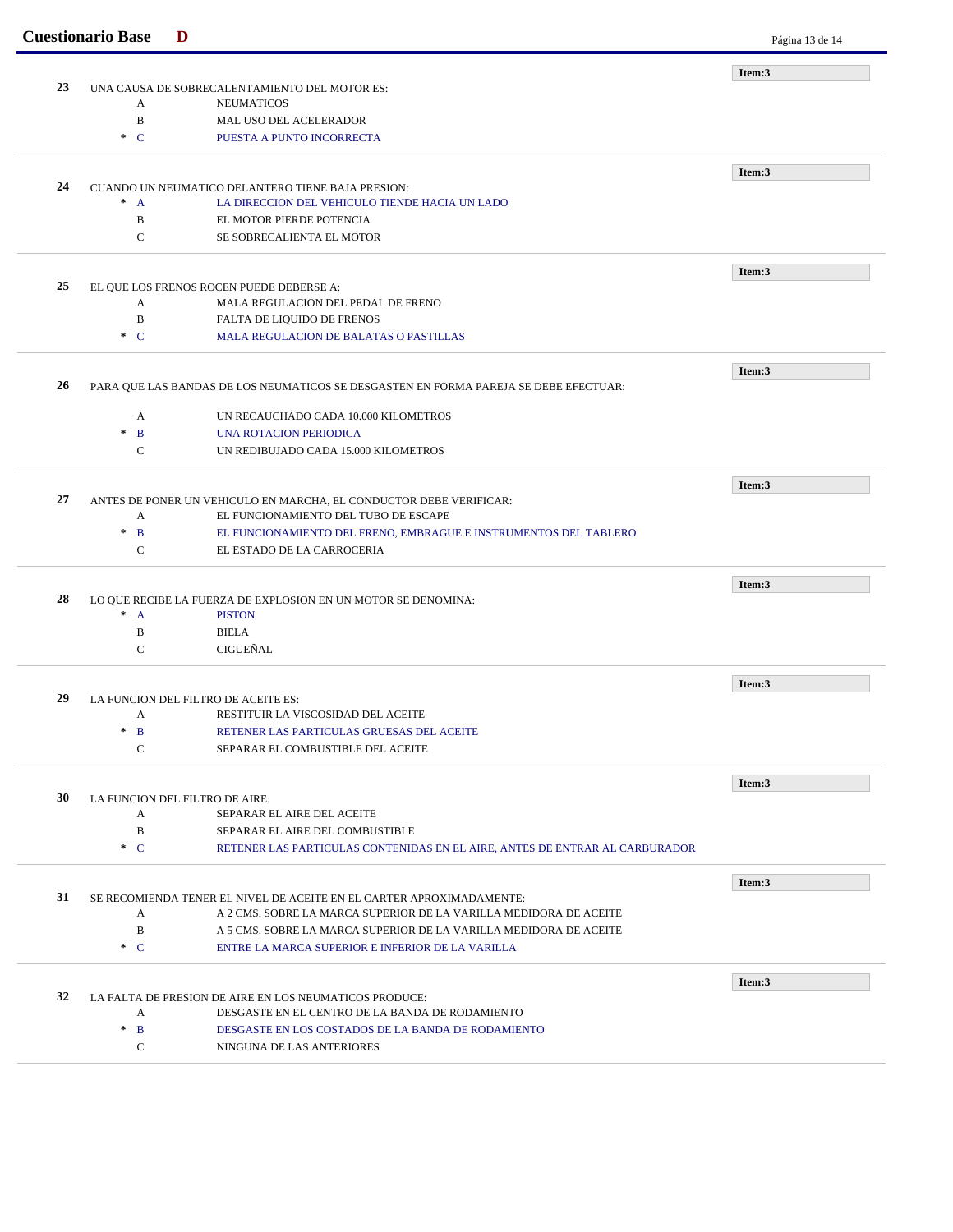|    | <b>Cuestionario Base</b>                          | D                                                                                    | Página 13 de 14 |
|----|---------------------------------------------------|--------------------------------------------------------------------------------------|-----------------|
|    |                                                   |                                                                                      | Item:3          |
| 23 | UNA CAUSA DE SOBRECALENTAMIENTO DEL MOTOR ES:     |                                                                                      |                 |
|    | A                                                 | <b>NEUMATICOS</b>                                                                    |                 |
|    | $\, {\bf B}$                                      | MAL USO DEL ACELERADOR                                                               |                 |
|    | $\cdot C$                                         | PUESTA A PUNTO INCORRECTA                                                            |                 |
|    |                                                   |                                                                                      | Item:3          |
| 24 | CUANDO UN NEUMATICO DELANTERO TIENE BAJA PRESION: |                                                                                      |                 |
|    | $^*$ A                                            | LA DIRECCION DEL VEHICULO TIENDE HACIA UN LADO                                       |                 |
|    | B                                                 | EL MOTOR PIERDE POTENCIA                                                             |                 |
|    | $\mathbf C$                                       | SE SOBRECALIENTA EL MOTOR                                                            |                 |
|    |                                                   |                                                                                      |                 |
| 25 |                                                   | EL QUE LOS FRENOS ROCEN PUEDE DEBERSE A:                                             | Item:3          |
|    | A                                                 | MALA REGULACION DEL PEDAL DE FRENO                                                   |                 |
|    | $\, {\bf B}$                                      | FALTA DE LIQUIDO DE FRENOS                                                           |                 |
|    | $\ast$ C                                          | MALA REGULACION DE BALATAS O PASTILLAS                                               |                 |
|    |                                                   |                                                                                      |                 |
| 26 |                                                   | PARA QUE LAS BANDAS DE LOS NEUMATICOS SE DESGASTEN EN FORMA PAREJA SE DEBE EFECTUAR: | Item:3          |
|    |                                                   |                                                                                      |                 |
|    | A                                                 | UN RECAUCHADO CADA 10.000 KILOMETROS                                                 |                 |
|    | $\ast$<br>$\mathbf{B}$                            | UNA ROTACION PERIODICA                                                               |                 |
|    | $\mathsf{C}$                                      | UN REDIBUJADO CADA 15.000 KILOMETROS                                                 |                 |
|    |                                                   |                                                                                      | Item:3          |
| 27 |                                                   | ANTES DE PONER UN VEHICULO EN MARCHA, EL CONDUCTOR DEBE VERIFICAR:                   |                 |
|    | A                                                 | EL FUNCIONAMIENTO DEL TUBO DE ESCAPE                                                 |                 |
|    | $\, {\bf B}$<br>$\ast$                            | EL FUNCIONAMIENTO DEL FRENO, EMBRAGUE E INSTRUMENTOS DEL TABLERO                     |                 |
|    | $\mathbf C$                                       | EL ESTADO DE LA CARROCERIA                                                           |                 |
|    |                                                   |                                                                                      |                 |
| 28 |                                                   | LO QUE RECIBE LA FUERZA DE EXPLOSION EN UN MOTOR SE DENOMINA:                        | Item:3          |
|    | $* A$                                             | <b>PISTON</b>                                                                        |                 |
|    | B                                                 | <b>BIELA</b>                                                                         |                 |
|    | $\mathbf C$                                       | CIGUEÑAL                                                                             |                 |
|    |                                                   |                                                                                      |                 |
| 29 |                                                   | LA FUNCION DEL FILTRO DE ACEITE ES:                                                  | Item:3          |
|    | A                                                 | RESTITUIR LA VISCOSIDAD DEL ACEITE                                                   |                 |
|    | $*$ B                                             | RETENER LAS PARTICULAS GRUESAS DEL ACEITE                                            |                 |
|    | $\mathbf C$                                       | SEPARAR EL COMBUSTIBLE DEL ACEITE                                                    |                 |
|    |                                                   |                                                                                      |                 |
|    |                                                   |                                                                                      | Item:3          |
| 30 |                                                   | LA FUNCION DEL FILTRO DE AIRE:                                                       |                 |
|    | A                                                 | SEPARAR EL AIRE DEL ACEITE                                                           |                 |
|    | $\, {\bf B}$                                      | SEPARAR EL AIRE DEL COMBUSTIBLE                                                      |                 |
|    | $C^*$                                             | RETENER LAS PARTICULAS CONTENIDAS EN EL AIRE, ANTES DE ENTRAR AL CARBURADOR          |                 |
|    |                                                   |                                                                                      | Item:3          |
| 31 |                                                   | SE RECOMIENDA TENER EL NIVEL DE ACEITE EN EL CARTER APROXIMADAMENTE:                 |                 |
|    | A                                                 | A 2 CMS. SOBRE LA MARCA SUPERIOR DE LA VARILLA MEDIDORA DE ACEITE                    |                 |
|    | B                                                 | A 5 CMS. SOBRE LA MARCA SUPERIOR DE LA VARILLA MEDIDORA DE ACEITE                    |                 |
|    | $\cdot C$                                         | ENTRE LA MARCA SUPERIOR E INFERIOR DE LA VARILLA                                     |                 |
|    |                                                   |                                                                                      | Item:3          |
| 32 |                                                   | LA FALTA DE PRESION DE AIRE EN LOS NEUMATICOS PRODUCE:                               |                 |
|    | A                                                 | DESGASTE EN EL CENTRO DE LA BANDA DE RODAMIENTO                                      |                 |
|    | $\ast$<br>$\mathbf{B}$                            | DESGASTE EN LOS COSTADOS DE LA BANDA DE RODAMIENTO                                   |                 |
|    |                                                   |                                                                                      |                 |